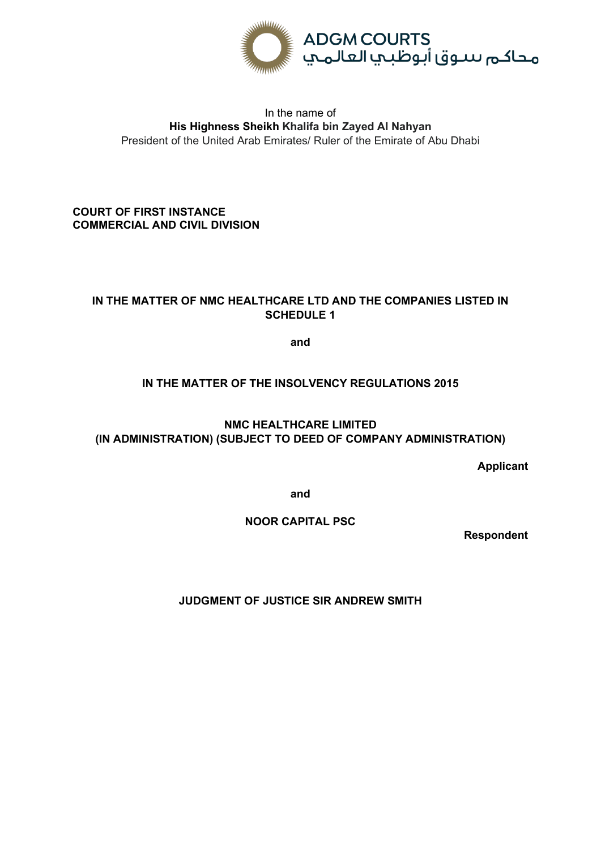

## In the name of **His Highness Sheikh Khalifa bin Zayed Al Nahyan** President of the United Arab Emirates/ Ruler of the Emirate of Abu Dhabi

## **COURT OF FIRST INSTANCE COMMERCIAL AND CIVIL DIVISION**

# **IN THE MATTER OF NMC HEALTHCARE LTD AND THE COMPANIES LISTED IN SCHEDULE 1**

**and**

# **IN THE MATTER OF THE INSOLVENCY REGULATIONS 2015**

## **NMC HEALTHCARE LIMITED (IN ADMINISTRATION) (SUBJECT TO DEED OF COMPANY ADMINISTRATION)**

**Applicant**

**and**

**NOOR CAPITAL PSC**

**Respondent**

**JUDGMENT OF JUSTICE SIR ANDREW SMITH**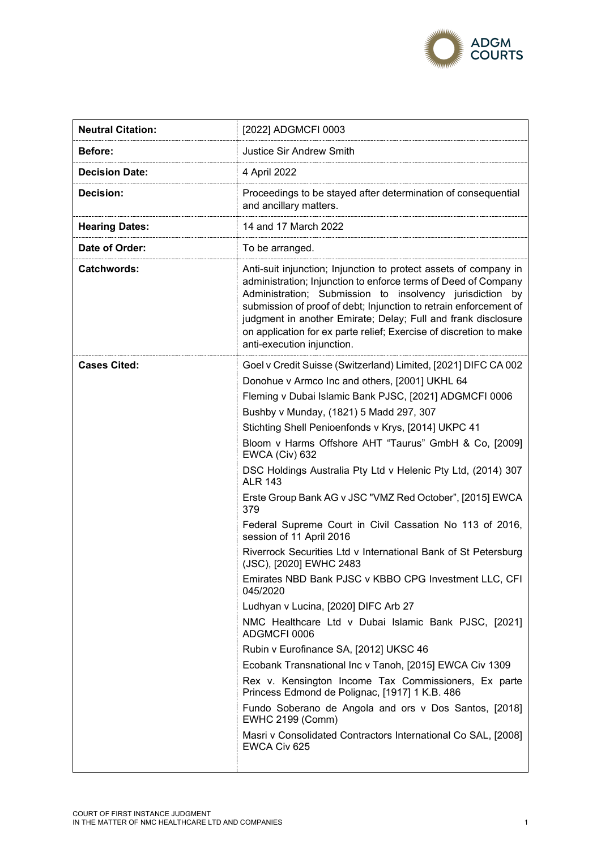

| <b>Neutral Citation:</b> | [2022] ADGMCFI 0003                                                                                                                                                                                                                                                                                                                                                                                                                                                                                                                                                                                                                                                                                                                                                                                                                                                                                                                                                                                                                                                                                                                                                                                                                                                               |  |
|--------------------------|-----------------------------------------------------------------------------------------------------------------------------------------------------------------------------------------------------------------------------------------------------------------------------------------------------------------------------------------------------------------------------------------------------------------------------------------------------------------------------------------------------------------------------------------------------------------------------------------------------------------------------------------------------------------------------------------------------------------------------------------------------------------------------------------------------------------------------------------------------------------------------------------------------------------------------------------------------------------------------------------------------------------------------------------------------------------------------------------------------------------------------------------------------------------------------------------------------------------------------------------------------------------------------------|--|
| <b>Before:</b>           | <b>Justice Sir Andrew Smith</b>                                                                                                                                                                                                                                                                                                                                                                                                                                                                                                                                                                                                                                                                                                                                                                                                                                                                                                                                                                                                                                                                                                                                                                                                                                                   |  |
| <b>Decision Date:</b>    | 4 April 2022                                                                                                                                                                                                                                                                                                                                                                                                                                                                                                                                                                                                                                                                                                                                                                                                                                                                                                                                                                                                                                                                                                                                                                                                                                                                      |  |
| <b>Decision:</b>         | Proceedings to be stayed after determination of consequential<br>and ancillary matters.                                                                                                                                                                                                                                                                                                                                                                                                                                                                                                                                                                                                                                                                                                                                                                                                                                                                                                                                                                                                                                                                                                                                                                                           |  |
| <b>Hearing Dates:</b>    | 14 and 17 March 2022                                                                                                                                                                                                                                                                                                                                                                                                                                                                                                                                                                                                                                                                                                                                                                                                                                                                                                                                                                                                                                                                                                                                                                                                                                                              |  |
| Date of Order:           | To be arranged.                                                                                                                                                                                                                                                                                                                                                                                                                                                                                                                                                                                                                                                                                                                                                                                                                                                                                                                                                                                                                                                                                                                                                                                                                                                                   |  |
| <b>Catchwords:</b>       | Anti-suit injunction; Injunction to protect assets of company in<br>administration; Injunction to enforce terms of Deed of Company<br>Administration; Submission to insolvency jurisdiction by<br>submission of proof of debt; Injunction to retrain enforcement of<br>judgment in another Emirate; Delay; Full and frank disclosure<br>on application for ex parte relief; Exercise of discretion to make<br>anti-execution injunction.                                                                                                                                                                                                                                                                                                                                                                                                                                                                                                                                                                                                                                                                                                                                                                                                                                          |  |
| <b>Cases Cited:</b>      | Goel v Credit Suisse (Switzerland) Limited, [2021] DIFC CA 002<br>Donohue v Armco Inc and others, [2001] UKHL 64<br>Fleming v Dubai Islamic Bank PJSC, [2021] ADGMCFI 0006<br>Bushby v Munday, (1821) 5 Madd 297, 307<br>Stichting Shell Penioenfonds v Krys, [2014] UKPC 41<br>Bloom v Harms Offshore AHT "Taurus" GmbH & Co, [2009]<br><b>EWCA (Civ) 632</b><br>DSC Holdings Australia Pty Ltd v Helenic Pty Ltd, (2014) 307<br><b>ALR 143</b><br>Erste Group Bank AG v JSC "VMZ Red October", [2015] EWCA<br>379<br>Federal Supreme Court in Civil Cassation No 113 of 2016,<br>session of 11 April 2016<br>Riverrock Securities Ltd v International Bank of St Petersburg<br>(JSC), [2020] EWHC 2483<br>Emirates NBD Bank PJSC v KBBO CPG Investment LLC, CFI<br>045/2020<br>Ludhyan v Lucina, [2020] DIFC Arb 27<br>NMC Healthcare Ltd v Dubai Islamic Bank PJSC, [2021]<br>ADGMCFI 0006<br>Rubin v Eurofinance SA, [2012] UKSC 46<br>Ecobank Transnational Inc v Tanoh, [2015] EWCA Civ 1309<br>Rex v. Kensington Income Tax Commissioners, Ex parte<br>Princess Edmond de Polignac, [1917] 1 K.B. 486<br>Fundo Soberano de Angola and ors v Dos Santos, [2018]<br><b>EWHC 2199 (Comm)</b><br>Masri v Consolidated Contractors International Co SAL, [2008]<br>EWCA Civ 625 |  |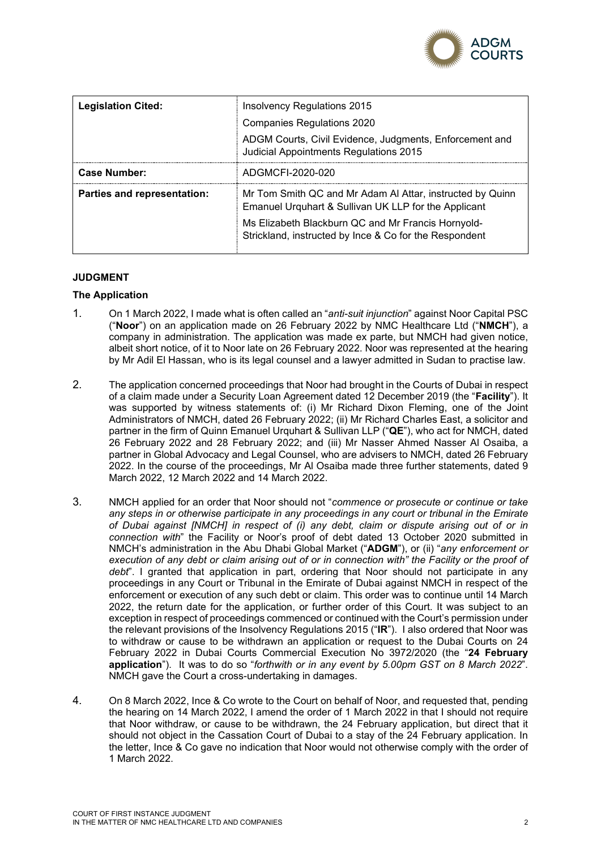

| <b>Legislation Cited:</b>   | Insolvency Regulations 2015                                                                                       |  |
|-----------------------------|-------------------------------------------------------------------------------------------------------------------|--|
|                             | <b>Companies Regulations 2020</b>                                                                                 |  |
|                             | ADGM Courts, Civil Evidence, Judgments, Enforcement and<br>Judicial Appointments Regulations 2015                 |  |
| Case Number:                | ADGMCFL-2020-020                                                                                                  |  |
| Parties and representation: | Mr Tom Smith QC and Mr Adam AI Attar, instructed by Quinn<br>Emanuel Urquhart & Sullivan UK LLP for the Applicant |  |
|                             | Ms Elizabeth Blackburn QC and Mr Francis Hornyold-<br>Strickland, instructed by Ince & Co for the Respondent      |  |

## **JUDGMENT**

## **The Application**

- 1. On 1 March 2022, I made what is often called an "*anti-suit injunction*" against Noor Capital PSC ("**Noor**") on an application made on 26 February 2022 by NMC Healthcare Ltd ("**NMCH**"), a company in administration. The application was made ex parte, but NMCH had given notice, albeit short notice, of it to Noor late on 26 February 2022. Noor was represented at the hearing by Mr Adil El Hassan, who is its legal counsel and a lawyer admitted in Sudan to practise law.
- 2. The application concerned proceedings that Noor had brought in the Courts of Dubai in respect of a claim made under a Security Loan Agreement dated 12 December 2019 (the "**Facility**"). It was supported by witness statements of: (i) Mr Richard Dixon Fleming, one of the Joint Administrators of NMCH, dated 26 February 2022; (ii) Mr Richard Charles East, a solicitor and partner in the firm of Quinn Emanuel Urquhart & Sullivan LLP ("**QE**"), who act for NMCH, dated 26 February 2022 and 28 February 2022; and (iii) Mr Nasser Ahmed Nasser Al Osaiba, a partner in Global Advocacy and Legal Counsel, who are advisers to NMCH, dated 26 February 2022. In the course of the proceedings, Mr Al Osaiba made three further statements, dated 9 March 2022, 12 March 2022 and 14 March 2022.
- 3. NMCH applied for an order that Noor should not "*commence or prosecute or continue or take any steps in or otherwise participate in any proceedings in any court or tribunal in the Emirate of Dubai against [NMCH] in respect of (i) any debt, claim or dispute arising out of or in connection with*" the Facility or Noor's proof of debt dated 13 October 2020 submitted in NMCH's administration in the Abu Dhabi Global Market ("**ADGM**"), or (ii) "*any enforcement or execution of any debt or claim arising out of or in connection with" the Facility or the proof of debt*". I granted that application in part, ordering that Noor should not participate in any proceedings in any Court or Tribunal in the Emirate of Dubai against NMCH in respect of the enforcement or execution of any such debt or claim. This order was to continue until 14 March 2022, the return date for the application, or further order of this Court. It was subject to an exception in respect of proceedings commenced or continued with the Court's permission under the relevant provisions of the Insolvency Regulations 2015 ("**IR**"). I also ordered that Noor was to withdraw or cause to be withdrawn an application or request to the Dubai Courts on 24 February 2022 in Dubai Courts Commercial Execution No 3972/2020 (the "**24 February application**"). It was to do so "*forthwith or in any event by 5.00pm GST on 8 March 2022*". NMCH gave the Court a cross-undertaking in damages.
- 4. On 8 March 2022, Ince & Co wrote to the Court on behalf of Noor, and requested that, pending the hearing on 14 March 2022, I amend the order of 1 March 2022 in that I should not require that Noor withdraw, or cause to be withdrawn, the 24 February application, but direct that it should not object in the Cassation Court of Dubai to a stay of the 24 February application. In the letter, Ince & Co gave no indication that Noor would not otherwise comply with the order of 1 March 2022.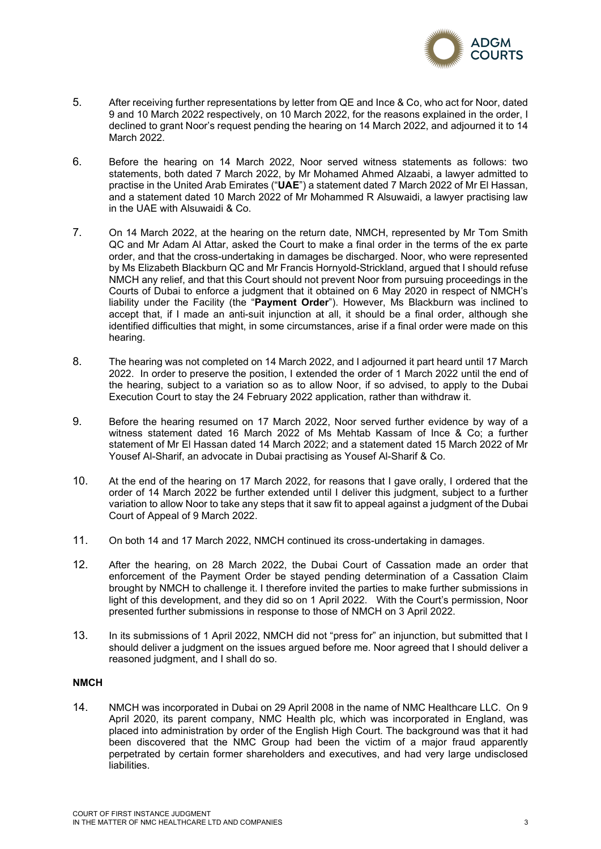

- 5. After receiving further representations by letter from QE and Ince & Co, who act for Noor, dated 9 and 10 March 2022 respectively, on 10 March 2022, for the reasons explained in the order, I declined to grant Noor's request pending the hearing on 14 March 2022, and adjourned it to 14 March 2022.
- 6. Before the hearing on 14 March 2022, Noor served witness statements as follows: two statements, both dated 7 March 2022, by Mr Mohamed Ahmed Alzaabi, a lawyer admitted to practise in the United Arab Emirates ("**UAE**") a statement dated 7 March 2022 of Mr El Hassan, and a statement dated 10 March 2022 of Mr Mohammed R Alsuwaidi, a lawyer practising law in the UAE with Alsuwaidi & Co.
- 7. On 14 March 2022, at the hearing on the return date, NMCH, represented by Mr Tom Smith QC and Mr Adam Al Attar, asked the Court to make a final order in the terms of the ex parte order, and that the cross-undertaking in damages be discharged. Noor, who were represented by Ms Elizabeth Blackburn QC and Mr Francis Hornyold-Strickland, argued that I should refuse NMCH any relief, and that this Court should not prevent Noor from pursuing proceedings in the Courts of Dubai to enforce a judgment that it obtained on 6 May 2020 in respect of NMCH's liability under the Facility (the "**Payment Order**"). However, Ms Blackburn was inclined to accept that, if I made an anti-suit injunction at all, it should be a final order, although she identified difficulties that might, in some circumstances, arise if a final order were made on this hearing.
- 8. The hearing was not completed on 14 March 2022, and I adjourned it part heard until 17 March 2022. In order to preserve the position, I extended the order of 1 March 2022 until the end of the hearing, subject to a variation so as to allow Noor, if so advised, to apply to the Dubai Execution Court to stay the 24 February 2022 application, rather than withdraw it.
- 9. Before the hearing resumed on 17 March 2022, Noor served further evidence by way of a witness statement dated 16 March 2022 of Ms Mehtab Kassam of Ince & Co; a further statement of Mr El Hassan dated 14 March 2022; and a statement dated 15 March 2022 of Mr Yousef Al-Sharif, an advocate in Dubai practising as Yousef Al-Sharif & Co.
- 10. At the end of the hearing on 17 March 2022, for reasons that I gave orally, I ordered that the order of 14 March 2022 be further extended until I deliver this judgment, subject to a further variation to allow Noor to take any steps that it saw fit to appeal against a judgment of the Dubai Court of Appeal of 9 March 2022.
- 11. On both 14 and 17 March 2022, NMCH continued its cross-undertaking in damages.
- 12. After the hearing, on 28 March 2022, the Dubai Court of Cassation made an order that enforcement of the Payment Order be stayed pending determination of a Cassation Claim brought by NMCH to challenge it. I therefore invited the parties to make further submissions in light of this development, and they did so on 1 April 2022. With the Court's permission, Noor presented further submissions in response to those of NMCH on 3 April 2022.
- 13. In its submissions of 1 April 2022, NMCH did not "press for" an injunction, but submitted that I should deliver a judgment on the issues argued before me. Noor agreed that I should deliver a reasoned judgment, and I shall do so.

## **NMCH**

14. NMCH was incorporated in Dubai on 29 April 2008 in the name of NMC Healthcare LLC. On 9 April 2020, its parent company, NMC Health plc, which was incorporated in England, was placed into administration by order of the English High Court. The background was that it had been discovered that the NMC Group had been the victim of a major fraud apparently perpetrated by certain former shareholders and executives, and had very large undisclosed **liabilities**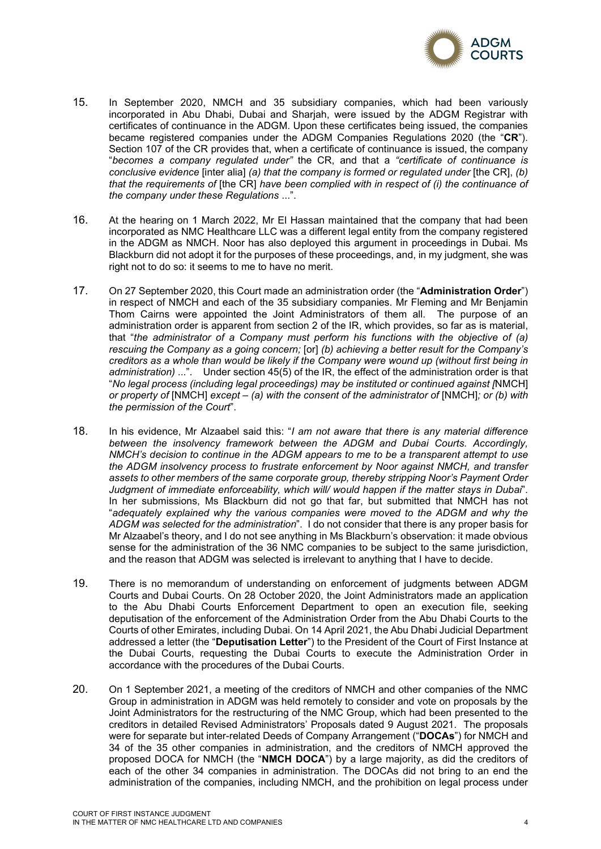

- 15. In September 2020, NMCH and 35 subsidiary companies, which had been variously incorporated in Abu Dhabi, Dubai and Sharjah, were issued by the ADGM Registrar with certificates of continuance in the ADGM. Upon these certificates being issued, the companies became registered companies under the ADGM Companies Regulations 2020 (the "**CR**"). Section 107 of the CR provides that, when a certificate of continuance is issued, the company "*becomes a company regulated under"* the CR, and that a *"certificate of continuance is conclusive evidence* [inter alia] *(a) that the company is formed or regulated under* [the CR], *(b) that the requirements of* [the CR] *have been complied with in respect of (i) the continuance of the company under these Regulations* ...".
- 16. At the hearing on 1 March 2022, Mr El Hassan maintained that the company that had been incorporated as NMC Healthcare LLC was a different legal entity from the company registered in the ADGM as NMCH. Noor has also deployed this argument in proceedings in Dubai. Ms Blackburn did not adopt it for the purposes of these proceedings, and, in my judgment, she was right not to do so: it seems to me to have no merit.
- 17. On 27 September 2020, this Court made an administration order (the "**Administration Order**") in respect of NMCH and each of the 35 subsidiary companies. Mr Fleming and Mr Benjamin Thom Cairns were appointed the Joint Administrators of them all. The purpose of an administration order is apparent from section 2 of the IR, which provides, so far as is material, that "*the administrator of a Company must perform his functions with the objective of (a) rescuing the Company as a going concern;* [or] *(b) achieving a better result for the Company's creditors as a whole than would be likely if the Company were wound up (without first being in administration)* ...". Under section 45(5) of the IR, the effect of the administration order is that "*No legal process (including legal proceedings) may be instituted or continued against [*NMCH] *or property of* [NMCH] *except – (a) with the consent of the administrator of* [NMCH]*; or (b) with the permission of the Court*".
- 18. In his evidence, Mr Alzaabel said this: "*I am not aware that there is any material difference between the insolvency framework between the ADGM and Dubai Courts. Accordingly, NMCH's decision to continue in the ADGM appears to me to be a transparent attempt to use the ADGM insolvency process to frustrate enforcement by Noor against NMCH, and transfer assets to other members of the same corporate group, thereby stripping Noor's Payment Order Judgment of immediate enforceability, which will/ would happen if the matter stays in Dubai*". In her submissions, Ms Blackburn did not go that far, but submitted that NMCH has not "*adequately explained why the various companies were moved to the ADGM and why the ADGM was selected for the administration*". I do not consider that there is any proper basis for Mr Alzaabel's theory, and I do not see anything in Ms Blackburn's observation: it made obvious sense for the administration of the 36 NMC companies to be subject to the same jurisdiction, and the reason that ADGM was selected is irrelevant to anything that I have to decide.
- 19. There is no memorandum of understanding on enforcement of judgments between ADGM Courts and Dubai Courts. On 28 October 2020, the Joint Administrators made an application to the Abu Dhabi Courts Enforcement Department to open an execution file, seeking deputisation of the enforcement of the Administration Order from the Abu Dhabi Courts to the Courts of other Emirates, including Dubai. On 14 April 2021, the Abu Dhabi Judicial Department addressed a letter (the "**Deputisation Letter**") to the President of the Court of First Instance at the Dubai Courts, requesting the Dubai Courts to execute the Administration Order in accordance with the procedures of the Dubai Courts.
- 20. On 1 September 2021, a meeting of the creditors of NMCH and other companies of the NMC Group in administration in ADGM was held remotely to consider and vote on proposals by the Joint Administrators for the restructuring of the NMC Group, which had been presented to the creditors in detailed Revised Administrators' Proposals dated 9 August 2021. The proposals were for separate but inter-related Deeds of Company Arrangement ("**DOCAs**") for NMCH and 34 of the 35 other companies in administration, and the creditors of NMCH approved the proposed DOCA for NMCH (the "**NMCH DOCA**") by a large majority, as did the creditors of each of the other 34 companies in administration. The DOCAs did not bring to an end the administration of the companies, including NMCH, and the prohibition on legal process under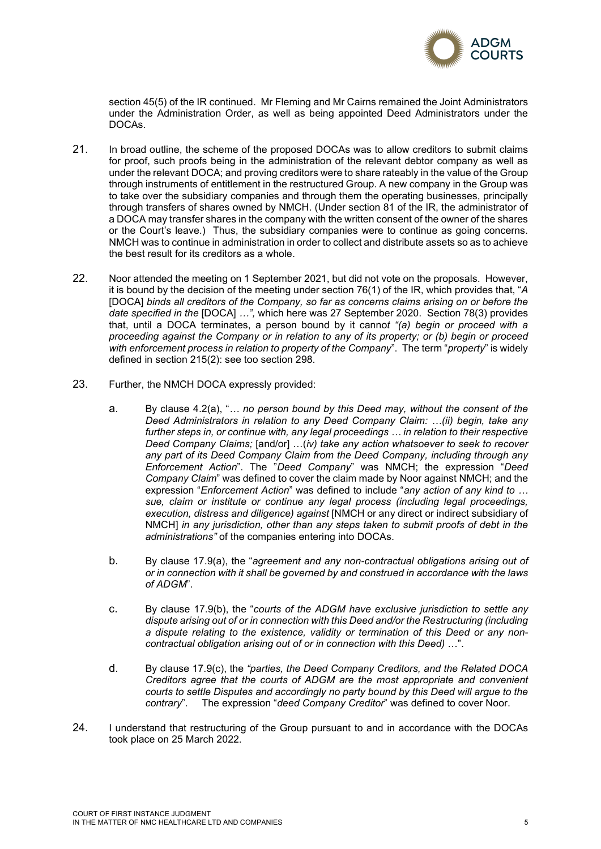

section 45(5) of the IR continued. Mr Fleming and Mr Cairns remained the Joint Administrators under the Administration Order, as well as being appointed Deed Administrators under the DOCAs.

- 21. In broad outline, the scheme of the proposed DOCAs was to allow creditors to submit claims for proof, such proofs being in the administration of the relevant debtor company as well as under the relevant DOCA; and proving creditors were to share rateably in the value of the Group through instruments of entitlement in the restructured Group. A new company in the Group was to take over the subsidiary companies and through them the operating businesses, principally through transfers of shares owned by NMCH. (Under section 81 of the IR, the administrator of a DOCA may transfer shares in the company with the written consent of the owner of the shares or the Court's leave.) Thus, the subsidiary companies were to continue as going concerns. NMCH was to continue in administration in order to collect and distribute assets so as to achieve the best result for its creditors as a whole.
- 22. Noor attended the meeting on 1 September 2021, but did not vote on the proposals. However, it is bound by the decision of the meeting under section 76(1) of the IR, which provides that, "*A*  [DOCA] *binds all creditors of the Company, so far as concerns claims arising on or before the date specified in the* [DOCA] *…",* which here was 27 September 2020. Section 78(3) provides that, until a DOCA terminates, a person bound by it canno*t "(a) begin or proceed with a proceeding against the Company or in relation to any of its property; or (b) begin or proceed with enforcement process in relation to property of the Company*". The term "*property*" is widely defined in section 215(2): see too section 298.
- 23. Further, the NMCH DOCA expressly provided:
	- a. By clause 4.2(a), "*… no person bound by this Deed may, without the consent of the Deed Administrators in relation to any Deed Company Claim: …(ii) begin, take any further steps in, or continue with, any legal proceedings … in relation to their respective Deed Company Claims;* [and/or] …(*iv) take any action whatsoever to seek to recover any part of its Deed Company Claim from the Deed Company, including through any Enforcement Action*". The "*Deed Company*" was NMCH; the expression "*Deed Company Claim*" was defined to cover the claim made by Noor against NMCH; and the expression "*Enforcement Action*" was defined to include "*any action of any kind to … sue, claim or institute or continue any legal process (including legal proceedings, execution, distress and diligence) against* [NMCH or any direct or indirect subsidiary of NMCH] *in any jurisdiction, other than any steps taken to submit proofs of debt in the administrations"* of the companies entering into DOCAs.
	- b. By clause 17.9(a), the "*agreement and any non-contractual obligations arising out of or in connection with it shall be governed by and construed in accordance with the laws of ADGM*".
	- c. By clause 17.9(b), the "*courts of the ADGM have exclusive jurisdiction to settle any dispute arising out of or in connection with this Deed and/or the Restructuring (including a dispute relating to the existence, validity or termination of this Deed or any noncontractual obligation arising out of or in connection with this Deed)* …".
	- d. By clause 17.9(c), the *"parties, the Deed Company Creditors, and the Related DOCA Creditors agree that the courts of ADGM are the most appropriate and convenient courts to settle Disputes and accordingly no party bound by this Deed will argue to the contrary*". The expression "*deed Company Creditor*" was defined to cover Noor.
- 24. I understand that restructuring of the Group pursuant to and in accordance with the DOCAs took place on 25 March 2022.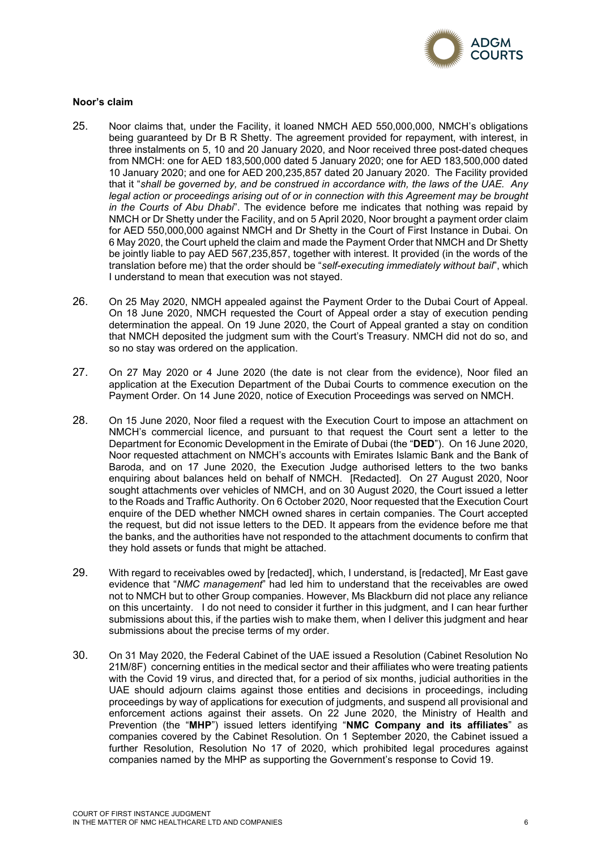

## **Noor's claim**

- 25. Noor claims that, under the Facility, it loaned NMCH AED 550,000,000, NMCH's obligations being guaranteed by Dr B R Shetty. The agreement provided for repayment, with interest, in three instalments on 5, 10 and 20 January 2020, and Noor received three post-dated cheques from NMCH: one for AED 183,500,000 dated 5 January 2020; one for AED 183,500,000 dated 10 January 2020; and one for AED 200,235,857 dated 20 January 2020. The Facility provided that it "*shall be governed by, and be construed in accordance with, the laws of the UAE. Any legal action or proceedings arising out of or in connection with this Agreement may be brought in the Courts of Abu Dhabi*". The evidence before me indicates that nothing was repaid by NMCH or Dr Shetty under the Facility, and on 5 April 2020, Noor brought a payment order claim for AED 550,000,000 against NMCH and Dr Shetty in the Court of First Instance in Dubai. On 6 May 2020, the Court upheld the claim and made the Payment Order that NMCH and Dr Shetty be jointly liable to pay AED 567,235,857, together with interest. It provided (in the words of the translation before me) that the order should be "*self-executing immediately without bail*", which I understand to mean that execution was not stayed.
- 26. On 25 May 2020, NMCH appealed against the Payment Order to the Dubai Court of Appeal. On 18 June 2020, NMCH requested the Court of Appeal order a stay of execution pending determination the appeal. On 19 June 2020, the Court of Appeal granted a stay on condition that NMCH deposited the judgment sum with the Court's Treasury. NMCH did not do so, and so no stay was ordered on the application.
- 27. On 27 May 2020 or 4 June 2020 (the date is not clear from the evidence), Noor filed an application at the Execution Department of the Dubai Courts to commence execution on the Payment Order. On 14 June 2020, notice of Execution Proceedings was served on NMCH.
- 28. On 15 June 2020, Noor filed a request with the Execution Court to impose an attachment on NMCH's commercial licence, and pursuant to that request the Court sent a letter to the Department for Economic Development in the Emirate of Dubai (the "**DED**"). On 16 June 2020, Noor requested attachment on NMCH's accounts with Emirates Islamic Bank and the Bank of Baroda, and on 17 June 2020, the Execution Judge authorised letters to the two banks enquiring about balances held on behalf of NMCH. [Redacted]. On 27 August 2020, Noor sought attachments over vehicles of NMCH, and on 30 August 2020, the Court issued a letter to the Roads and Traffic Authority. On 6 October 2020, Noor requested that the Execution Court enquire of the DED whether NMCH owned shares in certain companies. The Court accepted the request, but did not issue letters to the DED. It appears from the evidence before me that the banks, and the authorities have not responded to the attachment documents to confirm that they hold assets or funds that might be attached.
- 29. With regard to receivables owed by [redacted], which, I understand, is [redacted], Mr East gave evidence that "*NMC management*" had led him to understand that the receivables are owed not to NMCH but to other Group companies. However, Ms Blackburn did not place any reliance on this uncertainty. I do not need to consider it further in this judgment, and I can hear further submissions about this, if the parties wish to make them, when I deliver this judgment and hear submissions about the precise terms of my order.
- 30. On 31 May 2020, the Federal Cabinet of the UAE issued a Resolution (Cabinet Resolution No 21M/8F) concerning entities in the medical sector and their affiliates who were treating patients with the Covid 19 virus, and directed that, for a period of six months, judicial authorities in the UAE should adjourn claims against those entities and decisions in proceedings, including proceedings by way of applications for execution of judgments, and suspend all provisional and enforcement actions against their assets. On 22 June 2020, the Ministry of Health and Prevention (the "**MHP**") issued letters identifying "**NMC Company and its affiliates**" as companies covered by the Cabinet Resolution. On 1 September 2020, the Cabinet issued a further Resolution, Resolution No 17 of 2020, which prohibited legal procedures against companies named by the MHP as supporting the Government's response to Covid 19.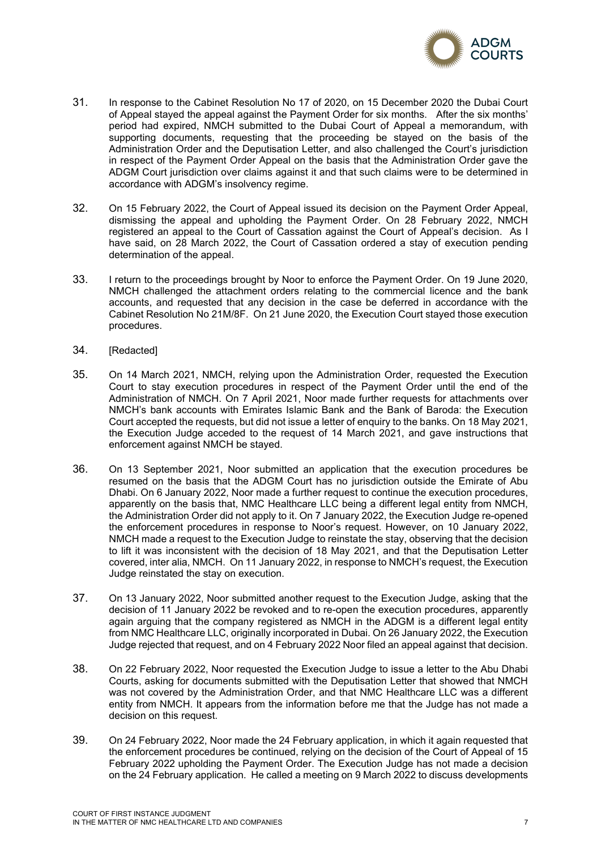

- 31. In response to the Cabinet Resolution No 17 of 2020, on 15 December 2020 the Dubai Court of Appeal stayed the appeal against the Payment Order for six months. After the six months' period had expired, NMCH submitted to the Dubai Court of Appeal a memorandum, with supporting documents, requesting that the proceeding be stayed on the basis of the Administration Order and the Deputisation Letter, and also challenged the Court's jurisdiction in respect of the Payment Order Appeal on the basis that the Administration Order gave the ADGM Court jurisdiction over claims against it and that such claims were to be determined in accordance with ADGM's insolvency regime.
- 32. On 15 February 2022, the Court of Appeal issued its decision on the Payment Order Appeal, dismissing the appeal and upholding the Payment Order. On 28 February 2022, NMCH registered an appeal to the Court of Cassation against the Court of Appeal's decision. As I have said, on 28 March 2022, the Court of Cassation ordered a stay of execution pending determination of the appeal.
- 33. I return to the proceedings brought by Noor to enforce the Payment Order. On 19 June 2020, NMCH challenged the attachment orders relating to the commercial licence and the bank accounts, and requested that any decision in the case be deferred in accordance with the Cabinet Resolution No 21M/8F. On 21 June 2020, the Execution Court stayed those execution procedures.
- 34. **[Redacted]**
- 35. On 14 March 2021, NMCH, relying upon the Administration Order, requested the Execution Court to stay execution procedures in respect of the Payment Order until the end of the Administration of NMCH. On 7 April 2021, Noor made further requests for attachments over NMCH's bank accounts with Emirates Islamic Bank and the Bank of Baroda: the Execution Court accepted the requests, but did not issue a letter of enquiry to the banks. On 18 May 2021, the Execution Judge acceded to the request of 14 March 2021, and gave instructions that enforcement against NMCH be stayed.
- 36. On 13 September 2021, Noor submitted an application that the execution procedures be resumed on the basis that the ADGM Court has no jurisdiction outside the Emirate of Abu Dhabi. On 6 January 2022, Noor made a further request to continue the execution procedures, apparently on the basis that, NMC Healthcare LLC being a different legal entity from NMCH, the Administration Order did not apply to it. On 7 January 2022, the Execution Judge re-opened the enforcement procedures in response to Noor's request. However, on 10 January 2022, NMCH made a request to the Execution Judge to reinstate the stay, observing that the decision to lift it was inconsistent with the decision of 18 May 2021, and that the Deputisation Letter covered, inter alia, NMCH. On 11 January 2022, in response to NMCH's request, the Execution Judge reinstated the stay on execution.
- 37. On 13 January 2022, Noor submitted another request to the Execution Judge, asking that the decision of 11 January 2022 be revoked and to re-open the execution procedures, apparently again arguing that the company registered as NMCH in the ADGM is a different legal entity from NMC Healthcare LLC, originally incorporated in Dubai. On 26 January 2022, the Execution Judge rejected that request, and on 4 February 2022 Noor filed an appeal against that decision.
- 38. On 22 February 2022, Noor requested the Execution Judge to issue a letter to the Abu Dhabi Courts, asking for documents submitted with the Deputisation Letter that showed that NMCH was not covered by the Administration Order, and that NMC Healthcare LLC was a different entity from NMCH. It appears from the information before me that the Judge has not made a decision on this request.
- 39. On 24 February 2022, Noor made the 24 February application, in which it again requested that the enforcement procedures be continued, relying on the decision of the Court of Appeal of 15 February 2022 upholding the Payment Order. The Execution Judge has not made a decision on the 24 February application. He called a meeting on 9 March 2022 to discuss developments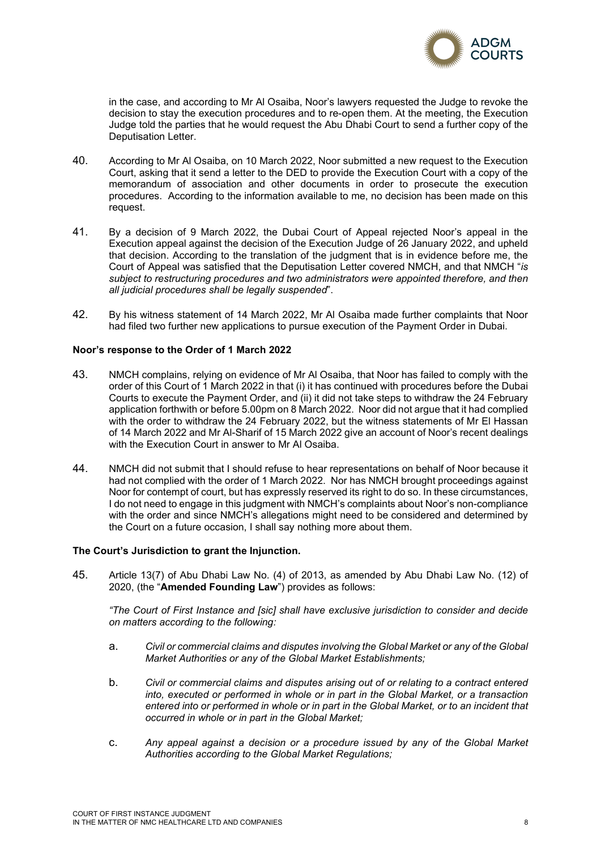

in the case, and according to Mr Al Osaiba, Noor's lawyers requested the Judge to revoke the decision to stay the execution procedures and to re-open them. At the meeting, the Execution Judge told the parties that he would request the Abu Dhabi Court to send a further copy of the Deputisation Letter.

- 40. According to Mr Al Osaiba, on 10 March 2022, Noor submitted a new request to the Execution Court, asking that it send a letter to the DED to provide the Execution Court with a copy of the memorandum of association and other documents in order to prosecute the execution procedures. According to the information available to me, no decision has been made on this request.
- 41. By a decision of 9 March 2022, the Dubai Court of Appeal rejected Noor's appeal in the Execution appeal against the decision of the Execution Judge of 26 January 2022, and upheld that decision. According to the translation of the judgment that is in evidence before me, the Court of Appeal was satisfied that the Deputisation Letter covered NMCH, and that NMCH "*is subject to restructuring procedures and two administrators were appointed therefore, and then all judicial procedures shall be legally suspended*".
- 42. By his witness statement of 14 March 2022, Mr Al Osaiba made further complaints that Noor had filed two further new applications to pursue execution of the Payment Order in Dubai.

#### **Noor's response to the Order of 1 March 2022**

- 43. NMCH complains, relying on evidence of Mr Al Osaiba, that Noor has failed to comply with the order of this Court of 1 March 2022 in that (i) it has continued with procedures before the Dubai Courts to execute the Payment Order, and (ii) it did not take steps to withdraw the 24 February application forthwith or before 5.00pm on 8 March 2022. Noor did not argue that it had complied with the order to withdraw the 24 February 2022, but the witness statements of Mr El Hassan of 14 March 2022 and Mr Al-Sharif of 15 March 2022 give an account of Noor's recent dealings with the Execution Court in answer to Mr Al Osaiba.
- 44. NMCH did not submit that I should refuse to hear representations on behalf of Noor because it had not complied with the order of 1 March 2022. Nor has NMCH brought proceedings against Noor for contempt of court, but has expressly reserved its right to do so. In these circumstances, I do not need to engage in this judgment with NMCH's complaints about Noor's non-compliance with the order and since NMCH's allegations might need to be considered and determined by the Court on a future occasion, I shall say nothing more about them.

#### **The Court's Jurisdiction to grant the Injunction.**

45. Article 13(7) of Abu Dhabi Law No. (4) of 2013, as amended by Abu Dhabi Law No. (12) of 2020, (the "**Amended Founding Law**") provides as follows:

*"The Court of First Instance and [sic] shall have exclusive jurisdiction to consider and decide on matters according to the following:*

- a. *Civil or commercial claims and disputes involving the Global Market or any of the Global Market Authorities or any of the Global Market Establishments;*
- b. *Civil or commercial claims and disputes arising out of or relating to a contract entered into, executed or performed in whole or in part in the Global Market, or a transaction entered into or performed in whole or in part in the Global Market, or to an incident that occurred in whole or in part in the Global Market;*
- c. *Any appeal against a decision or a procedure issued by any of the Global Market Authorities according to the Global Market Regulations;*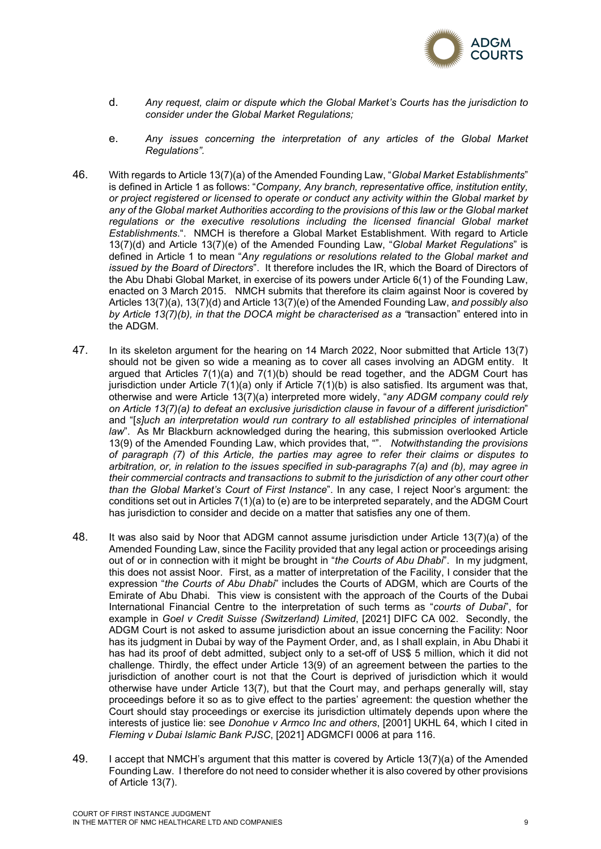

- d. *Any request, claim or dispute which the Global Market's Courts has the jurisdiction to consider under the Global Market Regulations;*
- e. *Any issues concerning the interpretation of any articles of the Global Market Regulations".*
- 46. With regards to Article 13(7)(a) of the Amended Founding Law, "*Global Market Establishments*" is defined in Article 1 as follows: "*Company, Any branch, representative office, institution entity, or project registered or licensed to operate or conduct any activity within the Global market by any of the Global market Authorities according to the provisions of this law or the Global market regulations or the executive resolutions including the licensed financial Global market Establishments*.". NMCH is therefore a Global Market Establishment. With regard to Article 13(7)(d) and Article 13(7)(e) of the Amended Founding Law, "*Global Market Regulations*" is defined in Article 1 to mean "*Any regulations or resolutions related to the Global market and issued by the Board of Directors*". It therefore includes the IR, which the Board of Directors of the Abu Dhabi Global Market, in exercise of its powers under Article 6(1) of the Founding Law, enacted on 3 March 2015. NMCH submits that therefore its claim against Noor is covered by Articles 13(7)(a), 13(7)(d) and Article 13(7)(e) of the Amended Founding Law, a*nd possibly also by Article 13(7)(b), in that the DOCA might be characterised as a "*transaction" entered into in the ADGM.
- 47. In its skeleton argument for the hearing on 14 March 2022, Noor submitted that Article 13(7) should not be given so wide a meaning as to cover all cases involving an ADGM entity. It argued that Articles  $7(1)(a)$  and  $7(1)(b)$  should be read together, and the ADGM Court has jurisdiction under Article  $7(1)(a)$  only if Article  $7(1)(b)$  is also satisfied. Its argument was that, otherwise and were Article 13(7)(a) interpreted more widely, "*any ADGM company could rely on Article 13(7)(a) to defeat an exclusive jurisdiction clause in favour of a different jurisdiction*" and "[*s]uch an interpretation would run contrary to all established principles of international law*". As Mr Blackburn acknowledged during the hearing, this submission overlooked Article 13(9) of the Amended Founding Law, which provides that, "". *Notwithstanding the provisions of paragraph (7) of this Article, the parties may agree to refer their claims or disputes to arbitration, or, in relation to the issues specified in sub-paragraphs 7(a) and (b), may agree in their commercial contracts and transactions to submit to the jurisdiction of any other court other than the Global Market's Court of First Instance*". In any case, I reject Noor's argument: the conditions set out in Articles 7(1)(a) to (e) are to be interpreted separately, and the ADGM Court has jurisdiction to consider and decide on a matter that satisfies any one of them.
- 48. It was also said by Noor that ADGM cannot assume jurisdiction under Article 13(7)(a) of the Amended Founding Law, since the Facility provided that any legal action or proceedings arising out of or in connection with it might be brought in "*the Courts of Abu Dhabi*". In my judgment, this does not assist Noor. First, as a matter of interpretation of the Facility, I consider that the expression "*the Courts of Abu Dhabi*" includes the Courts of ADGM, which are Courts of the Emirate of Abu Dhabi. This view is consistent with the approach of the Courts of the Dubai International Financial Centre to the interpretation of such terms as "*courts of Dubai*", for example in *Goel v Credit Suisse (Switzerland) Limited*, [2021] DIFC CA 002. Secondly, the ADGM Court is not asked to assume jurisdiction about an issue concerning the Facility: Noor has its judgment in Dubai by way of the Payment Order, and, as I shall explain, in Abu Dhabi it has had its proof of debt admitted, subject only to a set-off of US\$ 5 million, which it did not challenge. Thirdly, the effect under Article 13(9) of an agreement between the parties to the jurisdiction of another court is not that the Court is deprived of jurisdiction which it would otherwise have under Article 13(7), but that the Court may, and perhaps generally will, stay proceedings before it so as to give effect to the parties' agreement: the question whether the Court should stay proceedings or exercise its jurisdiction ultimately depends upon where the interests of justice lie: see *Donohue v Armco Inc and others*, [2001] UKHL 64, which I cited in *Fleming v Dubai Islamic Bank PJSC*, [2021] ADGMCFI 0006 at para 116.
- 49. I accept that NMCH's argument that this matter is covered by Article 13(7)(a) of the Amended Founding Law. I therefore do not need to consider whether it is also covered by other provisions of Article 13(7).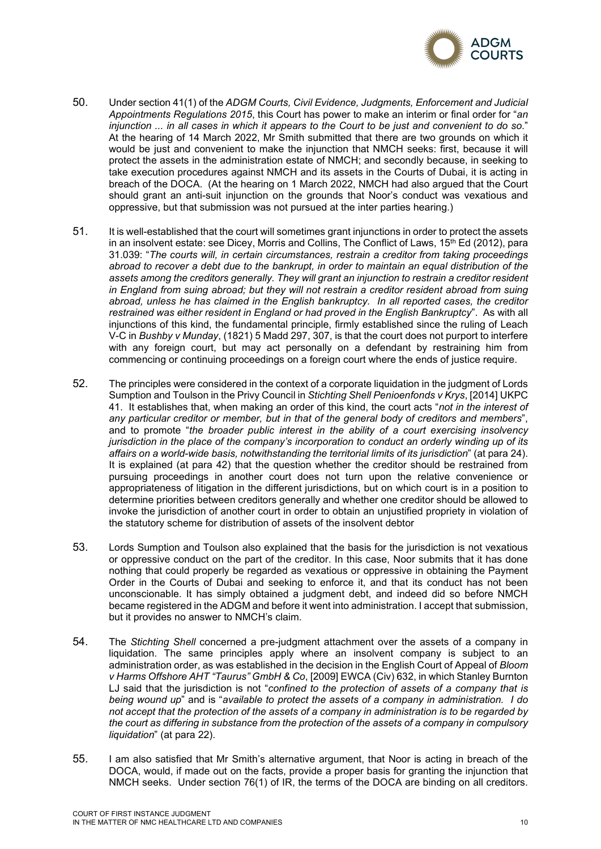

- 50. Under section 41(1) of the *ADGM Courts, Civil Evidence, Judgments, Enforcement and Judicial Appointments Regulations 2015*, this Court has power to make an interim or final order for "*an injunction ... in all cases in which it appears to the Court to be just and convenient to do so*." At the hearing of 14 March 2022, Mr Smith submitted that there are two grounds on which it would be just and convenient to make the injunction that NMCH seeks: first, because it will protect the assets in the administration estate of NMCH; and secondly because, in seeking to take execution procedures against NMCH and its assets in the Courts of Dubai, it is acting in breach of the DOCA. (At the hearing on 1 March 2022, NMCH had also argued that the Court should grant an anti-suit injunction on the grounds that Noor's conduct was vexatious and oppressive, but that submission was not pursued at the inter parties hearing.)
- 51. It is well-established that the court will sometimes grant injunctions in order to protect the assets in an insolvent estate: see Dicey, Morris and Collins, The Conflict of Laws, 15<sup>th</sup> Ed (2012), para 31.039: "*The courts will, in certain circumstances, restrain a creditor from taking proceedings abroad to recover a debt due to the bankrupt, in order to maintain an equal distribution of the assets among the creditors generally. They will grant an injunction to restrain a creditor resident in England from suing abroad; but they will not restrain a creditor resident abroad from suing abroad, unless he has claimed in the English bankruptcy. In all reported cases, the creditor restrained was either resident in England or had proved in the English Bankruptcy*". As with all injunctions of this kind, the fundamental principle, firmly established since the ruling of Leach V-C in *Bushby v Munday*, (1821) 5 Madd 297, 307, is that the court does not purport to interfere with any foreign court, but may act personally on a defendant by restraining him from commencing or continuing proceedings on a foreign court where the ends of justice require.
- 52. The principles were considered in the context of a corporate liquidation in the judgment of Lords Sumption and Toulson in the Privy Council in *Stichting Shell Penioenfonds v Krys*, [2014] UKPC 41. It establishes that, when making an order of this kind, the court acts "*not in the interest of any particular creditor or member, but in that of the general body of creditors and members*", and to promote "*the broader public interest in the ability of a court exercising insolvency jurisdiction in the place of the company's incorporation to conduct an orderly winding up of its affairs on a world-wide basis, notwithstanding the territorial limits of its jurisdiction*" (at para 24). It is explained (at para 42) that the question whether the creditor should be restrained from pursuing proceedings in another court does not turn upon the relative convenience or appropriateness of litigation in the different jurisdictions, but on which court is in a position to determine priorities between creditors generally and whether one creditor should be allowed to invoke the jurisdiction of another court in order to obtain an unjustified propriety in violation of the statutory scheme for distribution of assets of the insolvent debtor
- 53. Lords Sumption and Toulson also explained that the basis for the jurisdiction is not vexatious or oppressive conduct on the part of the creditor. In this case, Noor submits that it has done nothing that could properly be regarded as vexatious or oppressive in obtaining the Payment Order in the Courts of Dubai and seeking to enforce it, and that its conduct has not been unconscionable. It has simply obtained a judgment debt, and indeed did so before NMCH became registered in the ADGM and before it went into administration. I accept that submission, but it provides no answer to NMCH's claim.
- 54. The *Stichting Shell* concerned a pre-judgment attachment over the assets of a company in liquidation. The same principles apply where an insolvent company is subject to an administration order, as was established in the decision in the English Court of Appeal of *Bloom v Harms Offshore AHT "Taurus" GmbH & Co*, [2009] EWCA (Civ) 632, in which Stanley Burnton LJ said that the jurisdiction is not "*confined to the protection of assets of a company that is being wound up*" and is "*available to protect the assets of a company in administration. I do not accept that the protection of the assets of a company in administration is to be regarded by the court as differing in substance from the protection of the assets of a company in compulsory liquidation*" (at para 22).
- 55. I am also satisfied that Mr Smith's alternative argument, that Noor is acting in breach of the DOCA, would, if made out on the facts, provide a proper basis for granting the injunction that NMCH seeks. Under section 76(1) of IR, the terms of the DOCA are binding on all creditors.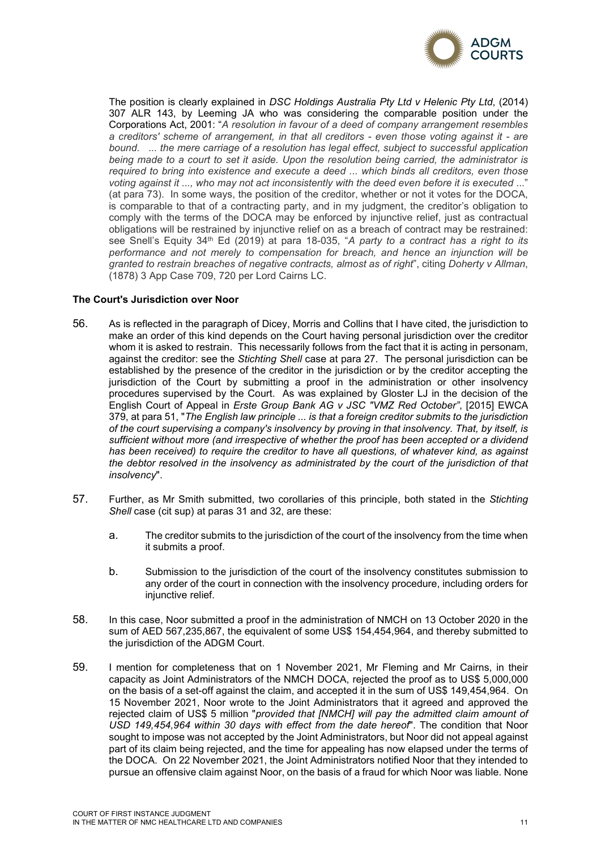

The position is clearly explained in *DSC Holdings Australia Pty Ltd v Helenic Pty Ltd*, (2014) 307 ALR 143, by Leeming JA who was considering the comparable position under the Corporations Act, 2001: "*A resolution in favour of a deed of company arrangement resembles a creditors' scheme of arrangement, in that all creditors - even those voting against it - are bound. ... the mere carriage of a resolution has legal effect, subject to successful application being made to a court to set it aside. Upon the resolution being carried, the administrator is required to bring into existence and execute a deed ... which binds all creditors, even those voting against it ..., who may not act inconsistently with the deed even before it is executed* ..." (at para 73). In some ways, the position of the creditor, whether or not it votes for the DOCA, is comparable to that of a contracting party, and in my judgment, the creditor's obligation to comply with the terms of the DOCA may be enforced by injunctive relief, just as contractual obligations will be restrained by injunctive relief on as a breach of contract may be restrained: see Snell's Equity 34th Ed (2019) at para 18-035, "*A party to a contract has a right to its performance and not merely to compensation for breach, and hence an injunction will be granted to restrain breaches of negative contracts, almost as of right*", citing *Doherty v Allman*, (1878) 3 App Case 709, 720 per Lord Cairns LC.

## **The Court's Jurisdiction over Noor**

- 56. As is reflected in the paragraph of Dicey, Morris and Collins that I have cited, the jurisdiction to make an order of this kind depends on the Court having personal jurisdiction over the creditor whom it is asked to restrain. This necessarily follows from the fact that it is acting in personam, against the creditor: see the *Stichting Shell* case at para 27. The personal jurisdiction can be established by the presence of the creditor in the jurisdiction or by the creditor accepting the jurisdiction of the Court by submitting a proof in the administration or other insolvency procedures supervised by the Court. As was explained by Gloster LJ in the decision of the English Court of Appeal in *Erste Group Bank AG v JSC "VMZ Red October"*, [2015] EWCA 379, at para 51, "*The English law principle ... is that a foreign creditor submits to the jurisdiction of the court supervising a company's insolvency by proving in that insolvency. That, by itself, is sufficient without more (and irrespective of whether the proof has been accepted or a dividend has been received) to require the creditor to have all questions, of whatever kind, as against the debtor resolved in the insolvency as administrated by the court of the jurisdiction of that insolvency*".
- 57. Further, as Mr Smith submitted, two corollaries of this principle, both stated in the *Stichting Shell* case (cit sup) at paras 31 and 32, are these:
	- a. The creditor submits to the jurisdiction of the court of the insolvency from the time when it submits a proof.
	- b. Submission to the jurisdiction of the court of the insolvency constitutes submission to any order of the court in connection with the insolvency procedure, including orders for injunctive relief.
- 58. In this case, Noor submitted a proof in the administration of NMCH on 13 October 2020 in the sum of AED 567,235,867, the equivalent of some US\$ 154,454,964, and thereby submitted to the jurisdiction of the ADGM Court.
- 59. I mention for completeness that on 1 November 2021, Mr Fleming and Mr Cairns, in their capacity as Joint Administrators of the NMCH DOCA, rejected the proof as to US\$ 5,000,000 on the basis of a set-off against the claim, and accepted it in the sum of US\$ 149,454,964. On 15 November 2021, Noor wrote to the Joint Administrators that it agreed and approved the rejected claim of US\$ 5 million "*provided that [NMCH] will pay the admitted claim amount of USD 149,454,964 within 30 days with effect from the date hereof*". The condition that Noor sought to impose was not accepted by the Joint Administrators, but Noor did not appeal against part of its claim being rejected, and the time for appealing has now elapsed under the terms of the DOCA. On 22 November 2021, the Joint Administrators notified Noor that they intended to pursue an offensive claim against Noor, on the basis of a fraud for which Noor was liable. None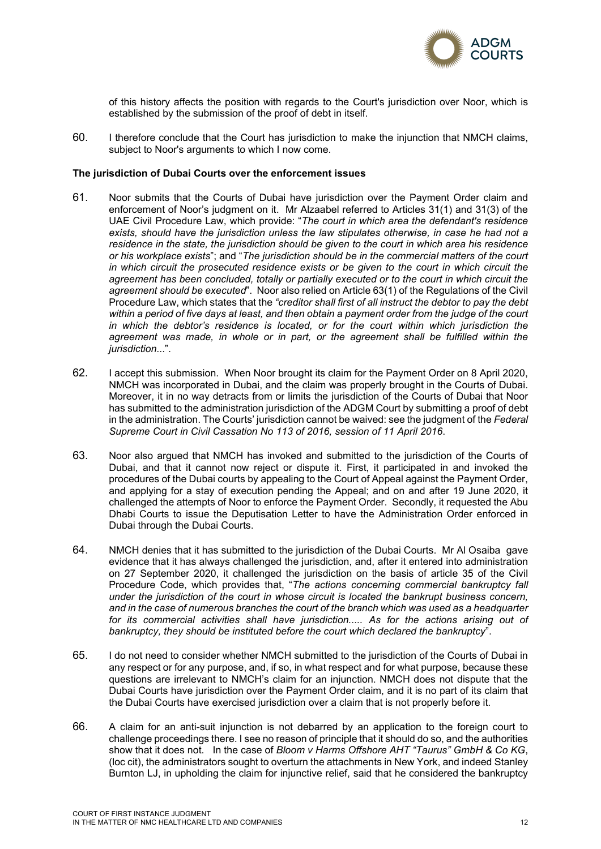

of this history affects the position with regards to the Court's jurisdiction over Noor, which is established by the submission of the proof of debt in itself.

60. I therefore conclude that the Court has jurisdiction to make the injunction that NMCH claims, subject to Noor's arguments to which I now come.

## **The jurisdiction of Dubai Courts over the enforcement issues**

- 61. Noor submits that the Courts of Dubai have jurisdiction over the Payment Order claim and enforcement of Noor's judgment on it. Mr Alzaabel referred to Articles 31(1) and 31(3) of the UAE Civil Procedure Law, which provide: "*The court in which area the defendant's residence exists, should have the jurisdiction unless the law stipulates otherwise, in case he had not a residence in the state, the jurisdiction should be given to the court in which area his residence or his workplace exists*"; and "*The jurisdiction should be in the commercial matters of the court in which circuit the prosecuted residence exists or be given to the court in which circuit the agreement has been concluded, totally or partially executed or to the court in which circuit the agreement should be executed*". Noor also relied on Article 63(1) of the Regulations of the Civil Procedure Law, which states that the *"creditor shall first of all instruct the debtor to pay the debt within a period of five days at least, and then obtain a payment order from the judge of the court in which the debtor's residence is located, or for the court within which jurisdiction the agreement was made, in whole or in part, or the agreement shall be fulfilled within the jurisdiction*...".
- 62. I accept this submission. When Noor brought its claim for the Payment Order on 8 April 2020, NMCH was incorporated in Dubai, and the claim was properly brought in the Courts of Dubai. Moreover, it in no way detracts from or limits the jurisdiction of the Courts of Dubai that Noor has submitted to the administration jurisdiction of the ADGM Court by submitting a proof of debt in the administration. The Courts' jurisdiction cannot be waived: see the judgment of the *Federal Supreme Court in Civil Cassation No 113 of 2016, session of 11 April 2016*.
- 63. Noor also argued that NMCH has invoked and submitted to the jurisdiction of the Courts of Dubai, and that it cannot now reject or dispute it. First, it participated in and invoked the procedures of the Dubai courts by appealing to the Court of Appeal against the Payment Order, and applying for a stay of execution pending the Appeal; and on and after 19 June 2020, it challenged the attempts of Noor to enforce the Payment Order. Secondly, it requested the Abu Dhabi Courts to issue the Deputisation Letter to have the Administration Order enforced in Dubai through the Dubai Courts.
- 64. NMCH denies that it has submitted to the jurisdiction of the Dubai Courts. Mr Al Osaiba gave evidence that it has always challenged the jurisdiction, and, after it entered into administration on 27 September 2020, it challenged the jurisdiction on the basis of article 35 of the Civil Procedure Code, which provides that, "*The actions concerning commercial bankruptcy fall under the jurisdiction of the court in whose circuit is located the bankrupt business concern, and in the case of numerous branches the court of the branch which was used as a headquarter for its commercial activities shall have jurisdiction..... As for the actions arising out of bankruptcy, they should be instituted before the court which declared the bankruptcy*".
- 65. I do not need to consider whether NMCH submitted to the jurisdiction of the Courts of Dubai in any respect or for any purpose, and, if so, in what respect and for what purpose, because these questions are irrelevant to NMCH's claim for an injunction. NMCH does not dispute that the Dubai Courts have jurisdiction over the Payment Order claim, and it is no part of its claim that the Dubai Courts have exercised jurisdiction over a claim that is not properly before it.
- 66. A claim for an anti-suit injunction is not debarred by an application to the foreign court to challenge proceedings there. I see no reason of principle that it should do so, and the authorities show that it does not. In the case of *Bloom v Harms Offshore AHT "Taurus" GmbH & Co KG*, (loc cit), the administrators sought to overturn the attachments in New York, and indeed Stanley Burnton LJ, in upholding the claim for injunctive relief, said that he considered the bankruptcy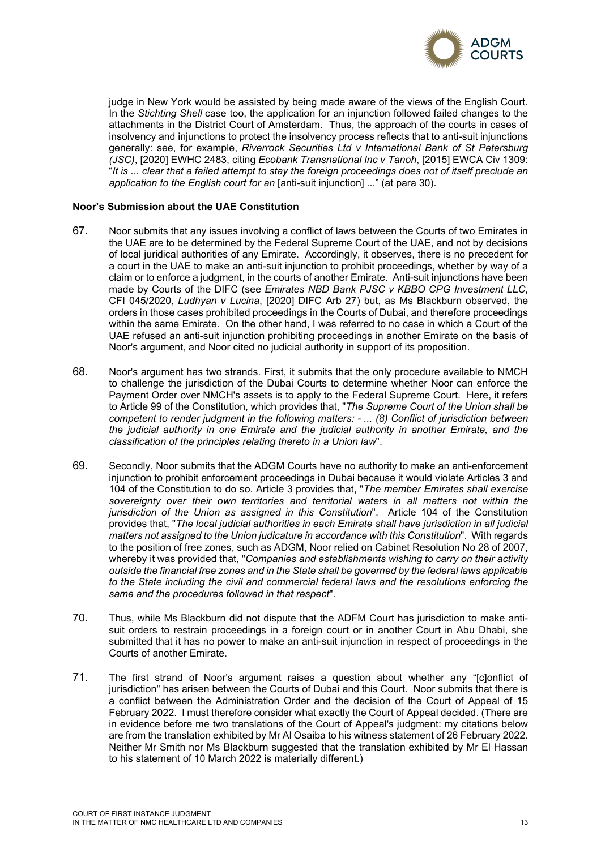

judge in New York would be assisted by being made aware of the views of the English Court. In the *Stichting Shell* case too, the application for an injunction followed failed changes to the attachments in the District Court of Amsterdam. Thus, the approach of the courts in cases of insolvency and injunctions to protect the insolvency process reflects that to anti-suit injunctions generally: see, for example, *Riverrock Securities Ltd v International Bank of St Petersburg (JSC)*, [2020] EWHC 2483, citing *Ecobank Transnational Inc v Tanoh*, [2015] EWCA Civ 1309: "*It is ... clear that a failed attempt to stay the foreign proceedings does not of itself preclude an application to the English court for an* [anti-suit injunction] ..." (at para 30).

## **Noor's Submission about the UAE Constitution**

- 67. Noor submits that any issues involving a conflict of laws between the Courts of two Emirates in the UAE are to be determined by the Federal Supreme Court of the UAE, and not by decisions of local juridical authorities of any Emirate. Accordingly, it observes, there is no precedent for a court in the UAE to make an anti-suit injunction to prohibit proceedings, whether by way of a claim or to enforce a judgment, in the courts of another Emirate. Anti-suit injunctions have been made by Courts of the DIFC (see *Emirates NBD Bank PJSC v KBBO CPG Investment LLC*, CFI 045/2020, *Ludhyan v Lucina*, [2020] DIFC Arb 27) but, as Ms Blackburn observed, the orders in those cases prohibited proceedings in the Courts of Dubai, and therefore proceedings within the same Emirate. On the other hand, I was referred to no case in which a Court of the UAE refused an anti-suit injunction prohibiting proceedings in another Emirate on the basis of Noor's argument, and Noor cited no judicial authority in support of its proposition.
- 68. Noor's argument has two strands. First, it submits that the only procedure available to NMCH to challenge the jurisdiction of the Dubai Courts to determine whether Noor can enforce the Payment Order over NMCH's assets is to apply to the Federal Supreme Court. Here, it refers to Article 99 of the Constitution, which provides that, "*The Supreme Court of the Union shall be competent to render judgment in the following matters: - ... (8) Conflict of jurisdiction between the judicial authority in one Emirate and the judicial authority in another Emirate, and the classification of the principles relating thereto in a Union law*".
- 69. Secondly, Noor submits that the ADGM Courts have no authority to make an anti-enforcement injunction to prohibit enforcement proceedings in Dubai because it would violate Articles 3 and 104 of the Constitution to do so. Article 3 provides that, "*The member Emirates shall exercise sovereignty over their own territories and territorial waters in all matters not within the jurisdiction of the Union as assigned in this Constitution*". Article 104 of the Constitution provides that, "*The local judicial authorities in each Emirate shall have jurisdiction in all judicial matters not assigned to the Union judicature in accordance with this Constitution*". With regards to the position of free zones, such as ADGM, Noor relied on Cabinet Resolution No 28 of 2007, whereby it was provided that, "*Companies and establishments wishing to carry on their activity outside the financial free zones and in the State shall be governed by the federal laws applicable to the State including the civil and commercial federal laws and the resolutions enforcing the same and the procedures followed in that respect*".
- 70. Thus, while Ms Blackburn did not dispute that the ADFM Court has jurisdiction to make antisuit orders to restrain proceedings in a foreign court or in another Court in Abu Dhabi, she submitted that it has no power to make an anti-suit injunction in respect of proceedings in the Courts of another Emirate.
- 71. The first strand of Noor's argument raises a question about whether any "[c]onflict of jurisdiction" has arisen between the Courts of Dubai and this Court. Noor submits that there is a conflict between the Administration Order and the decision of the Court of Appeal of 15 February 2022. I must therefore consider what exactly the Court of Appeal decided. (There are in evidence before me two translations of the Court of Appeal's judgment: my citations below are from the translation exhibited by Mr Al Osaiba to his witness statement of 26 February 2022. Neither Mr Smith nor Ms Blackburn suggested that the translation exhibited by Mr El Hassan to his statement of 10 March 2022 is materially different.)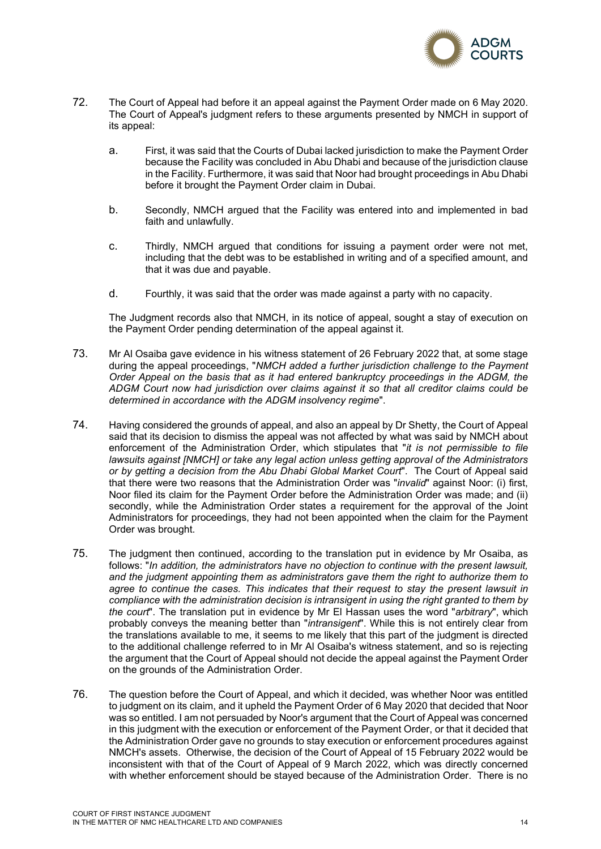

- 72. The Court of Appeal had before it an appeal against the Payment Order made on 6 May 2020. The Court of Appeal's judgment refers to these arguments presented by NMCH in support of its appeal:
	- a. First, it was said that the Courts of Dubai lacked jurisdiction to make the Payment Order because the Facility was concluded in Abu Dhabi and because of the jurisdiction clause in the Facility. Furthermore, it was said that Noor had brought proceedings in Abu Dhabi before it brought the Payment Order claim in Dubai.
	- b. Secondly, NMCH argued that the Facility was entered into and implemented in bad faith and unlawfully.
	- c. Thirdly, NMCH argued that conditions for issuing a payment order were not met, including that the debt was to be established in writing and of a specified amount, and that it was due and payable.
	- d. Fourthly, it was said that the order was made against a party with no capacity.

The Judgment records also that NMCH, in its notice of appeal, sought a stay of execution on the Payment Order pending determination of the appeal against it.

- 73. Mr Al Osaiba gave evidence in his witness statement of 26 February 2022 that, at some stage during the appeal proceedings, "*NMCH added a further jurisdiction challenge to the Payment Order Appeal on the basis that as it had entered bankruptcy proceedings in the ADGM, the ADGM Court now had jurisdiction over claims against it so that all creditor claims could be determined in accordance with the ADGM insolvency regime*".
- 74. Having considered the grounds of appeal, and also an appeal by Dr Shetty, the Court of Appeal said that its decision to dismiss the appeal was not affected by what was said by NMCH about enforcement of the Administration Order, which stipulates that "*it is not permissible to file lawsuits against [NMCH] or take any legal action unless getting approval of the Administrators or by getting a decision from the Abu Dhabi Global Market Court*". The Court of Appeal said that there were two reasons that the Administration Order was "*invalid*" against Noor: (i) first, Noor filed its claim for the Payment Order before the Administration Order was made; and (ii) secondly, while the Administration Order states a requirement for the approval of the Joint Administrators for proceedings, they had not been appointed when the claim for the Payment Order was brought.
- 75. The judgment then continued, according to the translation put in evidence by Mr Osaiba, as follows: "*In addition, the administrators have no objection to continue with the present lawsuit, and the judgment appointing them as administrators gave them the right to authorize them to agree to continue the cases. This indicates that their request to stay the present lawsuit in compliance with the administration decision is intransigent in using the right granted to them by the court*". The translation put in evidence by Mr El Hassan uses the word "*arbitrary*", which probably conveys the meaning better than "*intransigent*". While this is not entirely clear from the translations available to me, it seems to me likely that this part of the judgment is directed to the additional challenge referred to in Mr Al Osaiba's witness statement, and so is rejecting the argument that the Court of Appeal should not decide the appeal against the Payment Order on the grounds of the Administration Order.
- 76. The question before the Court of Appeal, and which it decided, was whether Noor was entitled to judgment on its claim, and it upheld the Payment Order of 6 May 2020 that decided that Noor was so entitled. I am not persuaded by Noor's argument that the Court of Appeal was concerned in this judgment with the execution or enforcement of the Payment Order, or that it decided that the Administration Order gave no grounds to stay execution or enforcement procedures against NMCH's assets. Otherwise, the decision of the Court of Appeal of 15 February 2022 would be inconsistent with that of the Court of Appeal of 9 March 2022, which was directly concerned with whether enforcement should be stayed because of the Administration Order. There is no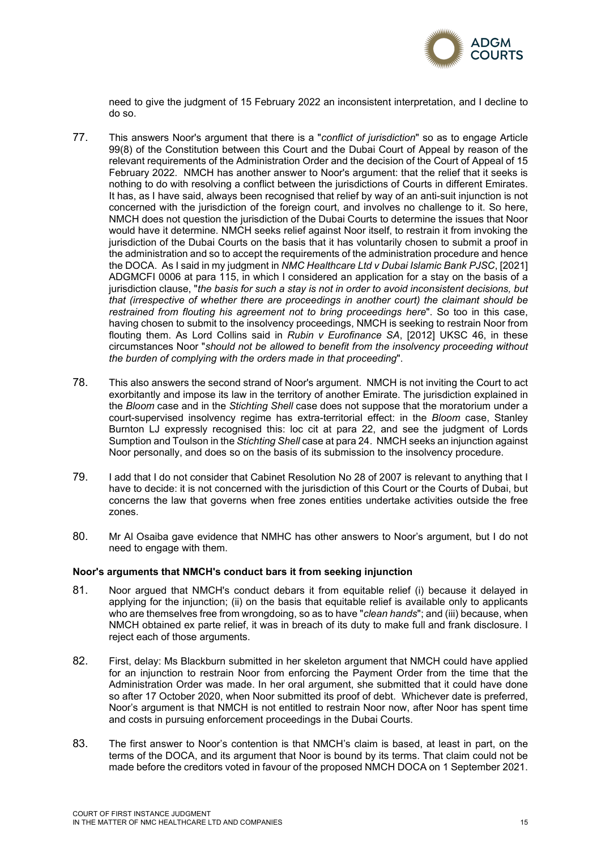

need to give the judgment of 15 February 2022 an inconsistent interpretation, and I decline to do so.

- 77. This answers Noor's argument that there is a "*conflict of jurisdiction*" so as to engage Article 99(8) of the Constitution between this Court and the Dubai Court of Appeal by reason of the relevant requirements of the Administration Order and the decision of the Court of Appeal of 15 February 2022. NMCH has another answer to Noor's argument: that the relief that it seeks is nothing to do with resolving a conflict between the jurisdictions of Courts in different Emirates. It has, as I have said, always been recognised that relief by way of an anti-suit injunction is not concerned with the jurisdiction of the foreign court, and involves no challenge to it. So here, NMCH does not question the jurisdiction of the Dubai Courts to determine the issues that Noor would have it determine. NMCH seeks relief against Noor itself, to restrain it from invoking the jurisdiction of the Dubai Courts on the basis that it has voluntarily chosen to submit a proof in the administration and so to accept the requirements of the administration procedure and hence the DOCA. As I said in my judgment in *NMC Healthcare Ltd v Dubai Islamic Bank PJSC*, [2021] ADGMCFI 0006 at para 115, in which I considered an application for a stay on the basis of a jurisdiction clause, "*the basis for such a stay is not in order to avoid inconsistent decisions, but that (irrespective of whether there are proceedings in another court) the claimant should be restrained from flouting his agreement not to bring proceedings here*". So too in this case, having chosen to submit to the insolvency proceedings, NMCH is seeking to restrain Noor from flouting them. As Lord Collins said in *Rubin v Eurofinance SA*, [2012] UKSC 46, in these circumstances Noor "*should not be allowed to benefit from the insolvency proceeding without the burden of complying with the orders made in that proceeding*".
- 78. This also answers the second strand of Noor's argument. NMCH is not inviting the Court to act exorbitantly and impose its law in the territory of another Emirate. The jurisdiction explained in the *Bloom* case and in the *Stichting Shell* case does not suppose that the moratorium under a court-supervised insolvency regime has extra-territorial effect: in the *Bloom* case, Stanley Burnton LJ expressly recognised this: loc cit at para 22, and see the judgment of Lords Sumption and Toulson in the *Stichting Shell* case at para 24. NMCH seeks an injunction against Noor personally, and does so on the basis of its submission to the insolvency procedure.
- 79. I add that I do not consider that Cabinet Resolution No 28 of 2007 is relevant to anything that I have to decide: it is not concerned with the jurisdiction of this Court or the Courts of Dubai, but concerns the law that governs when free zones entities undertake activities outside the free zones.
- 80. Mr Al Osaiba gave evidence that NMHC has other answers to Noor's argument, but I do not need to engage with them.

#### **Noor's arguments that NMCH's conduct bars it from seeking injunction**

- 81. Noor argued that NMCH's conduct debars it from equitable relief (i) because it delayed in applying for the injunction; (ii) on the basis that equitable relief is available only to applicants who are themselves free from wrongdoing, so as to have "*clean hands*"; and (iii) because, when NMCH obtained ex parte relief, it was in breach of its duty to make full and frank disclosure. I reject each of those arguments.
- 82. First, delay: Ms Blackburn submitted in her skeleton argument that NMCH could have applied for an injunction to restrain Noor from enforcing the Payment Order from the time that the Administration Order was made. In her oral argument, she submitted that it could have done so after 17 October 2020, when Noor submitted its proof of debt. Whichever date is preferred, Noor's argument is that NMCH is not entitled to restrain Noor now, after Noor has spent time and costs in pursuing enforcement proceedings in the Dubai Courts.
- 83. The first answer to Noor's contention is that NMCH's claim is based, at least in part, on the terms of the DOCA, and its argument that Noor is bound by its terms. That claim could not be made before the creditors voted in favour of the proposed NMCH DOCA on 1 September 2021.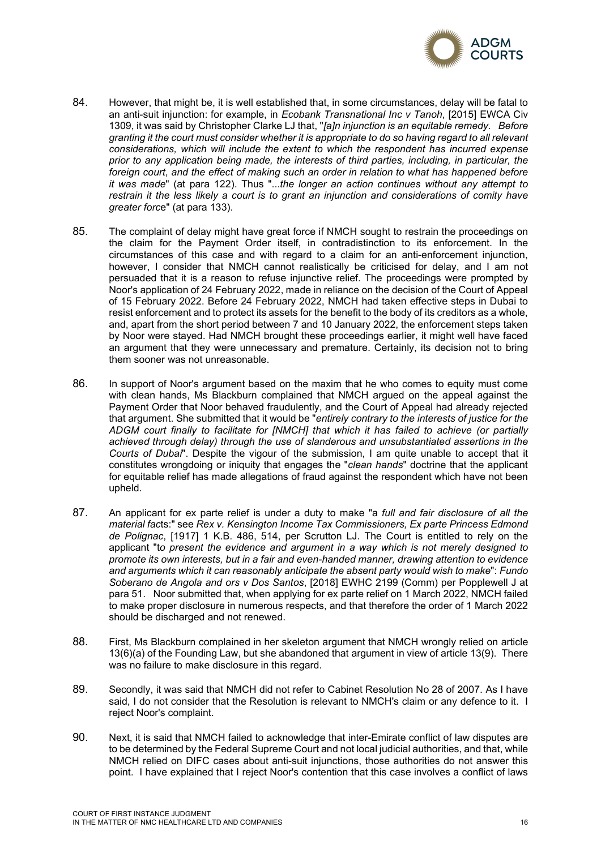

- 84. However, that might be, it is well established that, in some circumstances, delay will be fatal to an anti-suit injunction: for example, in *Ecobank Transnational Inc v Tanoh*, [2015] EWCA Civ 1309, it was said by Christopher Clarke LJ that, "*[a]n injunction is an equitable remedy. Before granting it the court must consider whether it is appropriate to do so having regard to all relevant considerations, which will include the extent to which the respondent has incurred expense prior to any application being made, the interests of third parties, including, in particular, the foreign court*, *and the effect of making such an order in relation to what has happened before it was made*" (at para 122). Thus "...*the longer an action continues without any attempt to restrain it the less likely a court is to grant an injunction and considerations of comity have greater forc*e" (at para 133).
- 85. The complaint of delay might have great force if NMCH sought to restrain the proceedings on the claim for the Payment Order itself, in contradistinction to its enforcement. In the circumstances of this case and with regard to a claim for an anti-enforcement injunction, however, I consider that NMCH cannot realistically be criticised for delay, and I am not persuaded that it is a reason to refuse injunctive relief. The proceedings were prompted by Noor's application of 24 February 2022, made in reliance on the decision of the Court of Appeal of 15 February 2022. Before 24 February 2022, NMCH had taken effective steps in Dubai to resist enforcement and to protect its assets for the benefit to the body of its creditors as a whole, and, apart from the short period between 7 and 10 January 2022, the enforcement steps taken by Noor were stayed. Had NMCH brought these proceedings earlier, it might well have faced an argument that they were unnecessary and premature. Certainly, its decision not to bring them sooner was not unreasonable.
- 86. In support of Noor's argument based on the maxim that he who comes to equity must come with clean hands, Ms Blackburn complained that NMCH argued on the appeal against the Payment Order that Noor behaved fraudulently, and the Court of Appeal had already rejected that argument. She submitted that it would be "*entirely contrary to the interests of justice for the ADGM court finally to facilitate for [NMCH] that which it has failed to achieve (or partially achieved through delay) through the use of slanderous and unsubstantiated assertions in the Courts of Dubai*". Despite the vigour of the submission, I am quite unable to accept that it constitutes wrongdoing or iniquity that engages the "*clean hands*" doctrine that the applicant for equitable relief has made allegations of fraud against the respondent which have not been upheld.
- 87. An applicant for ex parte relief is under a duty to make "a *full and fair disclosure of all the material fac*ts:" see *Rex v. Kensington Income Tax Commissioners, Ex parte Princess Edmond de Polignac*, [1917] 1 K.B. 486, 514, per Scrutton LJ. The Court is entitled to rely on the applicant "t*o present the evidence and argument in a way which is not merely designed to promote its own interests, but in a fair and even-handed manner, drawing attention to evidence and arguments which it can reasonably anticipate the absent party would wish to make*": *Fundo Soberano de Angola and ors v Dos Santos*, [2018] EWHC 2199 (Comm) per Popplewell J at para 51. Noor submitted that, when applying for ex parte relief on 1 March 2022, NMCH failed to make proper disclosure in numerous respects, and that therefore the order of 1 March 2022 should be discharged and not renewed.
- 88. First, Ms Blackburn complained in her skeleton argument that NMCH wrongly relied on article 13(6)(a) of the Founding Law, but she abandoned that argument in view of article 13(9). There was no failure to make disclosure in this regard.
- 89. Secondly, it was said that NMCH did not refer to Cabinet Resolution No 28 of 2007. As I have said, I do not consider that the Resolution is relevant to NMCH's claim or any defence to it. I reject Noor's complaint.
- 90. Next, it is said that NMCH failed to acknowledge that inter-Emirate conflict of law disputes are to be determined by the Federal Supreme Court and not local judicial authorities, and that, while NMCH relied on DIFC cases about anti-suit injunctions, those authorities do not answer this point. I have explained that I reject Noor's contention that this case involves a conflict of laws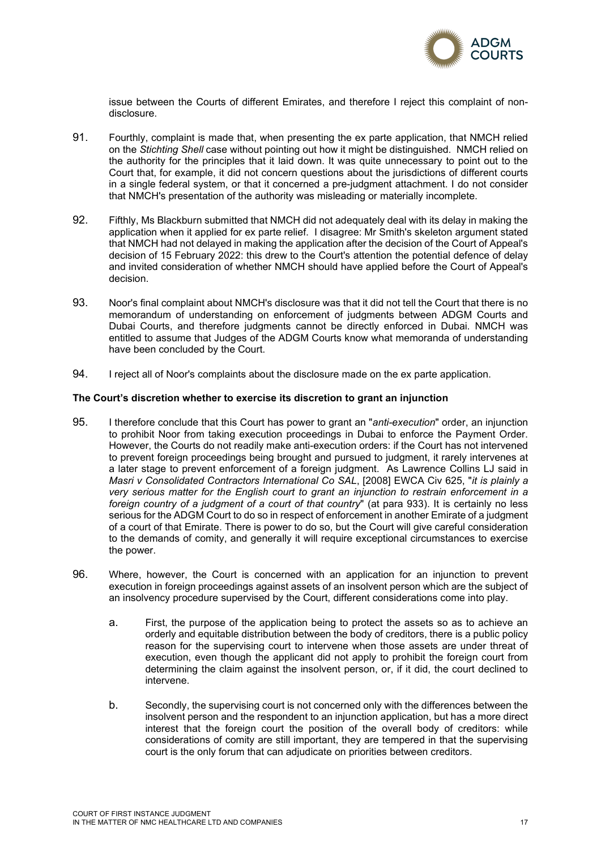

issue between the Courts of different Emirates, and therefore I reject this complaint of nondisclosure.

- 91. Fourthly, complaint is made that, when presenting the ex parte application, that NMCH relied on the *Stichting Shell* case without pointing out how it might be distinguished. NMCH relied on the authority for the principles that it laid down. It was quite unnecessary to point out to the Court that, for example, it did not concern questions about the jurisdictions of different courts in a single federal system, or that it concerned a pre-judgment attachment. I do not consider that NMCH's presentation of the authority was misleading or materially incomplete.
- 92. Fifthly, Ms Blackburn submitted that NMCH did not adequately deal with its delay in making the application when it applied for ex parte relief. I disagree: Mr Smith's skeleton argument stated that NMCH had not delayed in making the application after the decision of the Court of Appeal's decision of 15 February 2022: this drew to the Court's attention the potential defence of delay and invited consideration of whether NMCH should have applied before the Court of Appeal's decision.
- 93. Noor's final complaint about NMCH's disclosure was that it did not tell the Court that there is no memorandum of understanding on enforcement of judgments between ADGM Courts and Dubai Courts, and therefore judgments cannot be directly enforced in Dubai. NMCH was entitled to assume that Judges of the ADGM Courts know what memoranda of understanding have been concluded by the Court.
- 94. I reject all of Noor's complaints about the disclosure made on the ex parte application.

## **The Court's discretion whether to exercise its discretion to grant an injunction**

- 95. I therefore conclude that this Court has power to grant an "*anti-execution*" order, an injunction to prohibit Noor from taking execution proceedings in Dubai to enforce the Payment Order. However, the Courts do not readily make anti-execution orders: if the Court has not intervened to prevent foreign proceedings being brought and pursued to judgment, it rarely intervenes at a later stage to prevent enforcement of a foreign judgment. As Lawrence Collins LJ said in *Masri v Consolidated Contractors International Co SAL*, [2008] EWCA Civ 625, "*it is plainly a very serious matter for the English court to grant an injunction to restrain enforcement in a foreign country of a judgment of a court of that country*" (at para 933). It is certainly no less serious for the ADGM Court to do so in respect of enforcement in another Emirate of a judgment of a court of that Emirate. There is power to do so, but the Court will give careful consideration to the demands of comity, and generally it will require exceptional circumstances to exercise the power.
- 96. Where, however, the Court is concerned with an application for an injunction to prevent execution in foreign proceedings against assets of an insolvent person which are the subject of an insolvency procedure supervised by the Court, different considerations come into play.
	- a. First, the purpose of the application being to protect the assets so as to achieve an orderly and equitable distribution between the body of creditors, there is a public policy reason for the supervising court to intervene when those assets are under threat of execution, even though the applicant did not apply to prohibit the foreign court from determining the claim against the insolvent person, or, if it did, the court declined to intervene.
	- b. Secondly, the supervising court is not concerned only with the differences between the insolvent person and the respondent to an injunction application, but has a more direct interest that the foreign court the position of the overall body of creditors: while considerations of comity are still important, they are tempered in that the supervising court is the only forum that can adjudicate on priorities between creditors.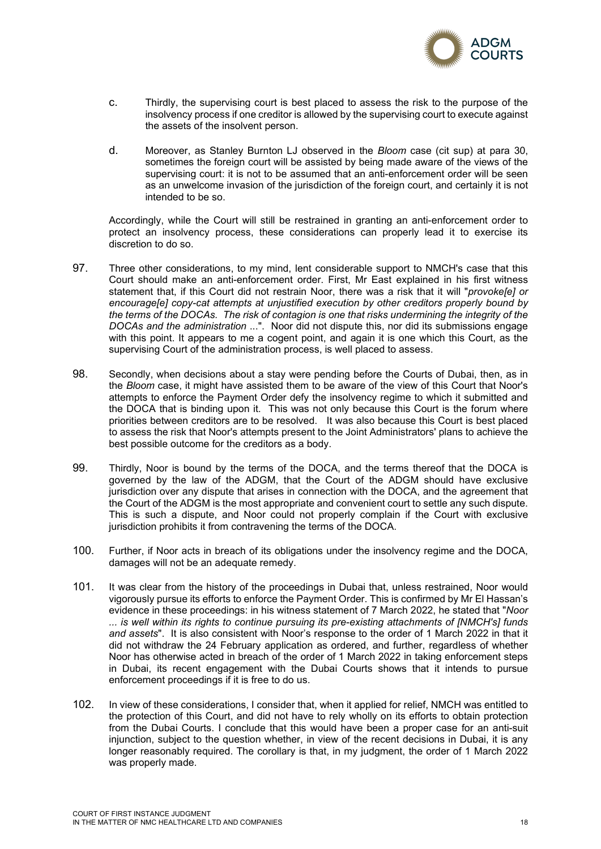

- c. Thirdly, the supervising court is best placed to assess the risk to the purpose of the insolvency process if one creditor is allowed by the supervising court to execute against the assets of the insolvent person.
- d. Moreover, as Stanley Burnton LJ observed in the *Bloom* case (cit sup) at para 30, sometimes the foreign court will be assisted by being made aware of the views of the supervising court: it is not to be assumed that an anti-enforcement order will be seen as an unwelcome invasion of the jurisdiction of the foreign court, and certainly it is not intended to be so.

Accordingly, while the Court will still be restrained in granting an anti-enforcement order to protect an insolvency process, these considerations can properly lead it to exercise its discretion to do so.

- 97. Three other considerations, to my mind, lent considerable support to NMCH's case that this Court should make an anti-enforcement order. First, Mr East explained in his first witness statement that, if this Court did not restrain Noor, there was a risk that it will "*provoke[e] or encourage[e] copy-cat attempts at unjustified execution by other creditors properly bound by the terms of the DOCAs. The risk of contagion is one that risks undermining the integrity of the DOCAs and the administration* ...". Noor did not dispute this, nor did its submissions engage with this point. It appears to me a cogent point, and again it is one which this Court, as the supervising Court of the administration process, is well placed to assess.
- 98. Secondly, when decisions about a stay were pending before the Courts of Dubai, then, as in the *Bloom* case, it might have assisted them to be aware of the view of this Court that Noor's attempts to enforce the Payment Order defy the insolvency regime to which it submitted and the DOCA that is binding upon it. This was not only because this Court is the forum where priorities between creditors are to be resolved. It was also because this Court is best placed to assess the risk that Noor's attempts present to the Joint Administrators' plans to achieve the best possible outcome for the creditors as a body.
- 99. Thirdly, Noor is bound by the terms of the DOCA, and the terms thereof that the DOCA is governed by the law of the ADGM, that the Court of the ADGM should have exclusive jurisdiction over any dispute that arises in connection with the DOCA, and the agreement that the Court of the ADGM is the most appropriate and convenient court to settle any such dispute. This is such a dispute, and Noor could not properly complain if the Court with exclusive jurisdiction prohibits it from contravening the terms of the DOCA.
- 100. Further, if Noor acts in breach of its obligations under the insolvency regime and the DOCA, damages will not be an adequate remedy.
- 101. It was clear from the history of the proceedings in Dubai that, unless restrained, Noor would vigorously pursue its efforts to enforce the Payment Order. This is confirmed by Mr El Hassan's evidence in these proceedings: in his witness statement of 7 March 2022, he stated that "*Noor ... is well within its rights to continue pursuing its pre-existing attachments of [NMCH's] funds and assets*". It is also consistent with Noor's response to the order of 1 March 2022 in that it did not withdraw the 24 February application as ordered, and further, regardless of whether Noor has otherwise acted in breach of the order of 1 March 2022 in taking enforcement steps in Dubai, its recent engagement with the Dubai Courts shows that it intends to pursue enforcement proceedings if it is free to do us.
- 102. In view of these considerations, I consider that, when it applied for relief, NMCH was entitled to the protection of this Court, and did not have to rely wholly on its efforts to obtain protection from the Dubai Courts. I conclude that this would have been a proper case for an anti-suit injunction, subject to the question whether, in view of the recent decisions in Dubai, it is any longer reasonably required. The corollary is that, in my judgment, the order of 1 March 2022 was properly made.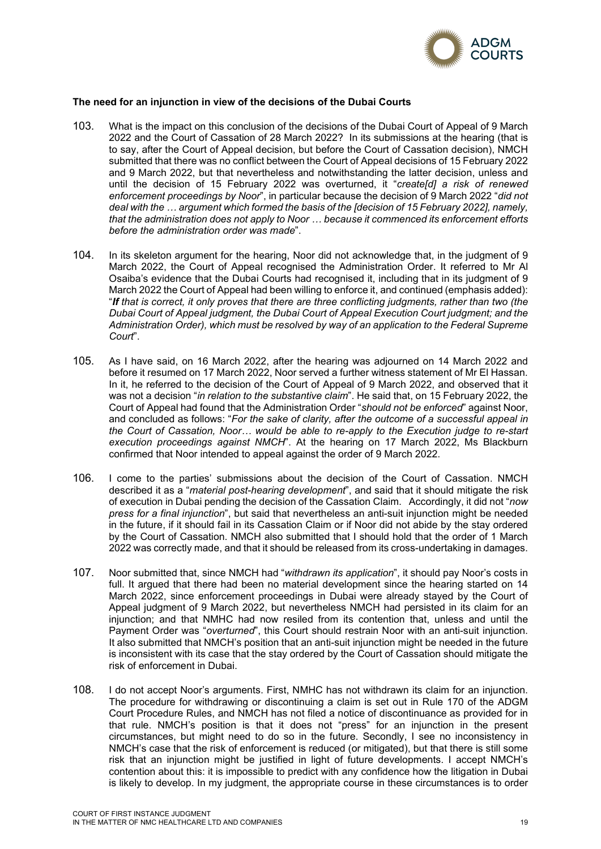

## **The need for an injunction in view of the decisions of the Dubai Courts**

- 103. What is the impact on this conclusion of the decisions of the Dubai Court of Appeal of 9 March 2022 and the Court of Cassation of 28 March 2022? In its submissions at the hearing (that is to say, after the Court of Appeal decision, but before the Court of Cassation decision), NMCH submitted that there was no conflict between the Court of Appeal decisions of 15 February 2022 and 9 March 2022, but that nevertheless and notwithstanding the latter decision, unless and until the decision of 15 February 2022 was overturned, it "*create[d] a risk of renewed enforcement proceedings by Noor*", in particular because the decision of 9 March 2022 "*did not deal with the … argument which formed the basis of the [decision of 15 February 2022], namely, that the administration does not apply to Noor … because it commenced its enforcement efforts before the administration order was made*".
- 104. In its skeleton argument for the hearing, Noor did not acknowledge that, in the judgment of 9 March 2022, the Court of Appeal recognised the Administration Order. It referred to Mr Al Osaiba's evidence that the Dubai Courts had recognised it, including that in its judgment of 9 March 2022 the Court of Appeal had been willing to enforce it, and continued (emphasis added): "*If that is correct, it only proves that there are three conflicting judgments, rather than two (the Dubai Court of Appeal judgment, the Dubai Court of Appeal Execution Court judgment; and the Administration Order), which must be resolved by way of an application to the Federal Supreme Court*".
- 105. As I have said, on 16 March 2022, after the hearing was adjourned on 14 March 2022 and before it resumed on 17 March 2022, Noor served a further witness statement of Mr El Hassan. In it, he referred to the decision of the Court of Appeal of 9 March 2022, and observed that it was not a decision "*in relation to the substantive claim*". He said that, on 15 February 2022, the Court of Appeal had found that the Administration Order "*should not be enforced*" against Noor, and concluded as follows: "*For the sake of clarity, after the outcome of a successful appeal in the Court of Cassation, Noor… would be able to re-apply to the Execution judge to re-start execution proceedings against NMCH*". At the hearing on 17 March 2022, Ms Blackburn confirmed that Noor intended to appeal against the order of 9 March 2022.
- 106. I come to the parties' submissions about the decision of the Court of Cassation. NMCH described it as a "*material post-hearing development*", and said that it should mitigate the risk of execution in Dubai pending the decision of the Cassation Claim. Accordingly, it did not "*now press for a final injunction*", but said that nevertheless an anti-suit injunction might be needed in the future, if it should fail in its Cassation Claim or if Noor did not abide by the stay ordered by the Court of Cassation. NMCH also submitted that I should hold that the order of 1 March 2022 was correctly made, and that it should be released from its cross-undertaking in damages.
- 107. Noor submitted that, since NMCH had "*withdrawn its application*", it should pay Noor's costs in full. It argued that there had been no material development since the hearing started on 14 March 2022, since enforcement proceedings in Dubai were already stayed by the Court of Appeal judgment of 9 March 2022, but nevertheless NMCH had persisted in its claim for an injunction; and that NMHC had now resiled from its contention that, unless and until the Payment Order was "*overturned*", this Court should restrain Noor with an anti-suit injunction. It also submitted that NMCH's position that an anti-suit injunction might be needed in the future is inconsistent with its case that the stay ordered by the Court of Cassation should mitigate the risk of enforcement in Dubai.
- 108. I do not accept Noor's arguments. First, NMHC has not withdrawn its claim for an injunction. The procedure for withdrawing or discontinuing a claim is set out in Rule 170 of the ADGM Court Procedure Rules, and NMCH has not filed a notice of discontinuance as provided for in that rule. NMCH's position is that it does not "press" for an injunction in the present circumstances, but might need to do so in the future. Secondly, I see no inconsistency in NMCH's case that the risk of enforcement is reduced (or mitigated), but that there is still some risk that an injunction might be justified in light of future developments. I accept NMCH's contention about this: it is impossible to predict with any confidence how the litigation in Dubai is likely to develop. In my judgment, the appropriate course in these circumstances is to order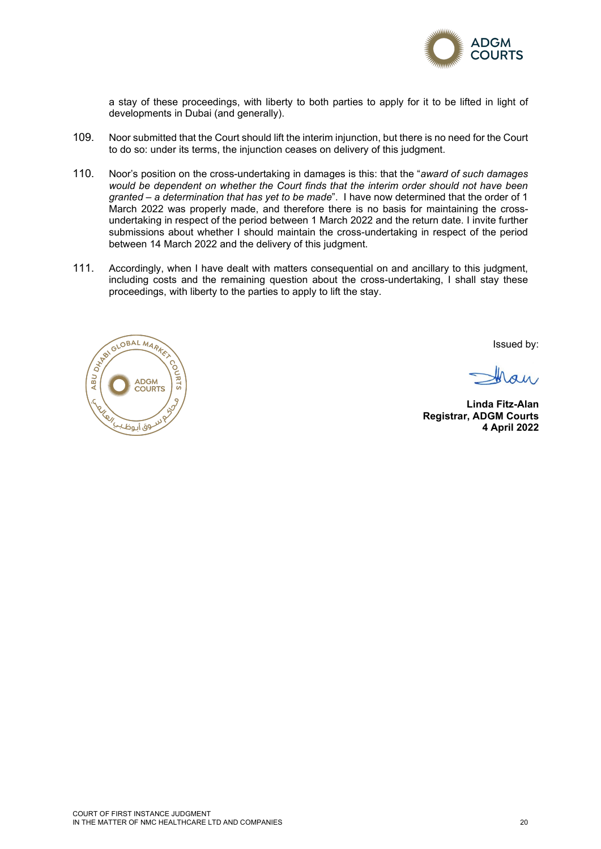

a stay of these proceedings, with liberty to both parties to apply for it to be lifted in light of developments in Dubai (and generally).

- 109. Noor submitted that the Court should lift the interim injunction, but there is no need for the Court to do so: under its terms, the injunction ceases on delivery of this judgment.
- 110. Noor's position on the cross-undertaking in damages is this: that the "*award of such damages would be dependent on whether the Court finds that the interim order should not have been granted – a determination that has yet to be made*". I have now determined that the order of 1 March 2022 was properly made, and therefore there is no basis for maintaining the crossundertaking in respect of the period between 1 March 2022 and the return date. I invite further submissions about whether I should maintain the cross-undertaking in respect of the period between 14 March 2022 and the delivery of this judgment.
- 111. Accordingly, when I have dealt with matters consequential on and ancillary to this judgment, including costs and the remaining question about the cross-undertaking, I shall stay these proceedings, with liberty to the parties to apply to lift the stay.



Issued by:

**Linda Fitz-Alan Registrar, ADGM Courts 4 April 2022**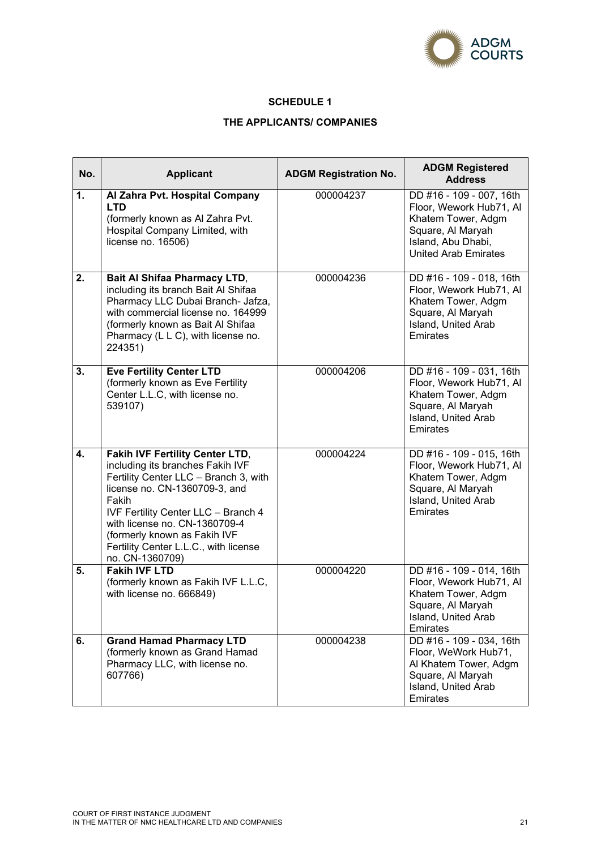

## **SCHEDULE 1**

## **THE APPLICANTS/ COMPANIES**

| No. | <b>Applicant</b>                                                                                                                                                                                                                                                                                                                         | <b>ADGM Registration No.</b> | <b>ADGM Registered</b><br><b>Address</b>                                                                                                            |
|-----|------------------------------------------------------------------------------------------------------------------------------------------------------------------------------------------------------------------------------------------------------------------------------------------------------------------------------------------|------------------------------|-----------------------------------------------------------------------------------------------------------------------------------------------------|
| 1.  | Al Zahra Pvt. Hospital Company<br><b>LTD</b><br>(formerly known as Al Zahra Pvt.<br>Hospital Company Limited, with<br>license no. 16506)                                                                                                                                                                                                 | 000004237                    | DD #16 - 109 - 007, 16th<br>Floor, Wework Hub71, Al<br>Khatem Tower, Adgm<br>Square, Al Maryah<br>Island, Abu Dhabi,<br><b>United Arab Emirates</b> |
| 2.  | <b>Bait Al Shifaa Pharmacy LTD,</b><br>including its branch Bait Al Shifaa<br>Pharmacy LLC Dubai Branch- Jafza,<br>with commercial license no. 164999<br>(formerly known as Bait Al Shifaa<br>Pharmacy (L L C), with license no.<br>224351)                                                                                              | 000004236                    | DD #16 - 109 - 018, 16th<br>Floor, Wework Hub71, Al<br>Khatem Tower, Adgm<br>Square, Al Maryah<br>Island, United Arab<br>Emirates                   |
| 3.  | <b>Eve Fertility Center LTD</b><br>(formerly known as Eve Fertility<br>Center L.L.C, with license no.<br>539107)                                                                                                                                                                                                                         | 000004206                    | DD #16 - 109 - 031, 16th<br>Floor, Wework Hub71, Al<br>Khatem Tower, Adgm<br>Square, Al Maryah<br>Island, United Arab<br>Emirates                   |
| 4.  | <b>Fakih IVF Fertility Center LTD,</b><br>including its branches Fakih IVF<br>Fertility Center LLC - Branch 3, with<br>license no. CN-1360709-3, and<br>Fakih<br><b>IVF Fertility Center LLC - Branch 4</b><br>with license no. CN-1360709-4<br>(formerly known as Fakih IVF<br>Fertility Center L.L.C., with license<br>no. CN-1360709) | 000004224                    | DD #16 - 109 - 015, 16th<br>Floor, Wework Hub71, Al<br>Khatem Tower, Adgm<br>Square, Al Maryah<br>Island, United Arab<br>Emirates                   |
| 5.  | <b>Fakih IVF LTD</b><br>(formerly known as Fakih IVF L.L.C,<br>with license no. 666849)                                                                                                                                                                                                                                                  | 000004220                    | DD #16 - 109 - 014, 16th<br>Floor, Wework Hub71, Al<br>Khatem Tower, Adgm<br>Square, Al Maryah<br>Island, United Arab<br>Emirates                   |
| 6.  | <b>Grand Hamad Pharmacy LTD</b><br>(formerly known as Grand Hamad<br>Pharmacy LLC, with license no.<br>607766)                                                                                                                                                                                                                           | 000004238                    | DD #16 - 109 - 034, 16th<br>Floor, WeWork Hub71,<br>Al Khatem Tower, Adgm<br>Square, Al Maryah<br>Island, United Arab<br><b>Emirates</b>            |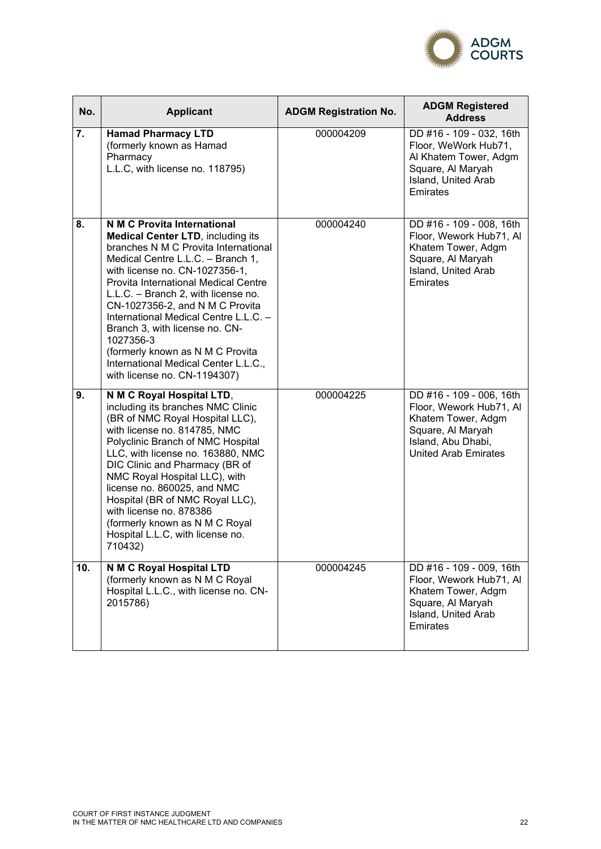

| No. | <b>Applicant</b>                                                                                                                                                                                                                                                                                                                                                                                                                                                                                             | <b>ADGM Registration No.</b> | <b>ADGM Registered</b><br><b>Address</b>                                                                                                            |
|-----|--------------------------------------------------------------------------------------------------------------------------------------------------------------------------------------------------------------------------------------------------------------------------------------------------------------------------------------------------------------------------------------------------------------------------------------------------------------------------------------------------------------|------------------------------|-----------------------------------------------------------------------------------------------------------------------------------------------------|
| 7.  | <b>Hamad Pharmacy LTD</b><br>(formerly known as Hamad<br>Pharmacy<br>L.L.C, with license no. 118795)                                                                                                                                                                                                                                                                                                                                                                                                         | 000004209                    | DD #16 - 109 - 032, 16th<br>Floor, WeWork Hub71,<br>Al Khatem Tower, Adgm<br>Square, Al Maryah<br>Island, United Arab<br><b>Emirates</b>            |
| 8.  | N M C Provita International<br><b>Medical Center LTD, including its</b><br>branches N M C Provita International<br>Medical Centre L.L.C. - Branch 1,<br>with license no. CN-1027356-1,<br>Provita International Medical Centre<br>L.L.C. - Branch 2, with license no.<br>CN-1027356-2, and N M C Provita<br>International Medical Centre L.L.C. -<br>Branch 3, with license no. CN-<br>1027356-3<br>(formerly known as N M C Provita<br>International Medical Center L.L.C.,<br>with license no. CN-1194307) | 000004240                    | DD #16 - 109 - 008, 16th<br>Floor, Wework Hub71, Al<br>Khatem Tower, Adgm<br>Square, Al Maryah<br>Island, United Arab<br>Emirates                   |
| 9.  | N M C Royal Hospital LTD,<br>including its branches NMC Clinic<br>(BR of NMC Royal Hospital LLC),<br>with license no. 814785, NMC<br>Polyclinic Branch of NMC Hospital<br>LLC, with license no. 163880, NMC<br>DIC Clinic and Pharmacy (BR of<br>NMC Royal Hospital LLC), with<br>license no. 860025, and NMC<br>Hospital (BR of NMC Royal LLC),<br>with license no. 878386<br>(formerly known as N M C Royal<br>Hospital L.L.C, with license no.<br>710432)                                                 | 000004225                    | DD #16 - 109 - 006, 16th<br>Floor, Wework Hub71, Al<br>Khatem Tower, Adgm<br>Square, Al Maryah<br>Island, Abu Dhabi,<br><b>United Arab Emirates</b> |
| 10. | N M C Royal Hospital LTD<br>(formerly known as N M C Royal<br>Hospital L.L.C., with license no. CN-<br>2015786)                                                                                                                                                                                                                                                                                                                                                                                              | 000004245                    | DD #16 - 109 - 009, 16th<br>Floor, Wework Hub71, Al<br>Khatem Tower, Adgm<br>Square, Al Maryah<br>Island, United Arab<br><b>Emirates</b>            |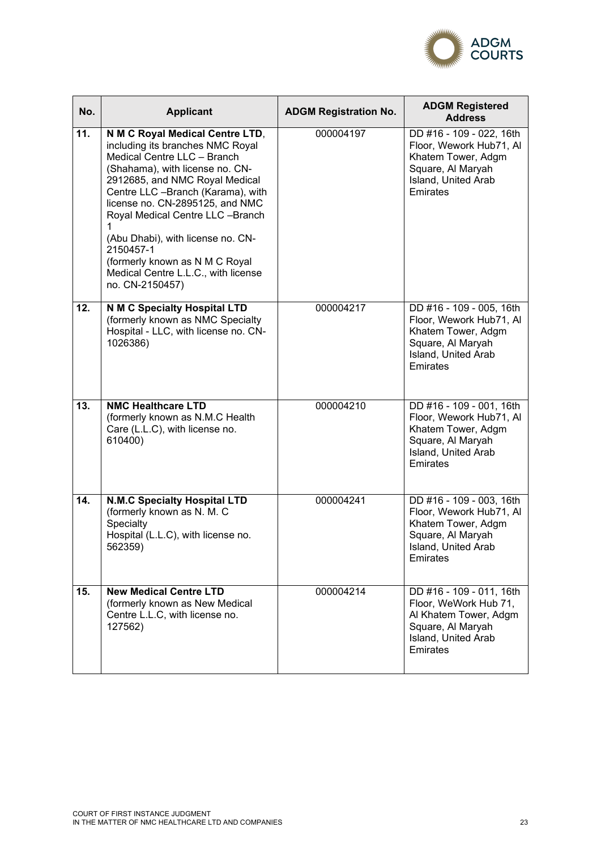

| No. | <b>Applicant</b>                                                                                                                                                                                                                                                                                                                                                                                                                  | <b>ADGM Registration No.</b> | <b>ADGM Registered</b><br><b>Address</b>                                                                                                  |
|-----|-----------------------------------------------------------------------------------------------------------------------------------------------------------------------------------------------------------------------------------------------------------------------------------------------------------------------------------------------------------------------------------------------------------------------------------|------------------------------|-------------------------------------------------------------------------------------------------------------------------------------------|
| 11. | N M C Royal Medical Centre LTD,<br>including its branches NMC Royal<br>Medical Centre LLC - Branch<br>(Shahama), with license no. CN-<br>2912685, and NMC Royal Medical<br>Centre LLC -Branch (Karama), with<br>license no. CN-2895125, and NMC<br>Royal Medical Centre LLC -Branch<br>(Abu Dhabi), with license no. CN-<br>2150457-1<br>(formerly known as N M C Royal<br>Medical Centre L.L.C., with license<br>no. CN-2150457) | 000004197                    | DD #16 - 109 - 022, 16th<br>Floor, Wework Hub71, Al<br>Khatem Tower, Adgm<br>Square, Al Maryah<br>Island, United Arab<br><b>Emirates</b>  |
| 12. | N M C Specialty Hospital LTD<br>(formerly known as NMC Specialty<br>Hospital - LLC, with license no. CN-<br>1026386)                                                                                                                                                                                                                                                                                                              | 000004217                    | DD #16 - 109 - 005, 16th<br>Floor, Wework Hub71, Al<br>Khatem Tower, Adgm<br>Square, Al Maryah<br>Island, United Arab<br><b>Emirates</b>  |
| 13. | <b>NMC Healthcare LTD</b><br>(formerly known as N.M.C Health<br>Care (L.L.C), with license no.<br>610400)                                                                                                                                                                                                                                                                                                                         | 000004210                    | DD #16 - 109 - 001, 16th<br>Floor, Wework Hub71, Al<br>Khatem Tower, Adgm<br>Square, Al Maryah<br>Island, United Arab<br><b>Emirates</b>  |
| 14. | <b>N.M.C Specialty Hospital LTD</b><br>(formerly known as N. M. C<br>Specialty<br>Hospital (L.L.C), with license no.<br>562359)                                                                                                                                                                                                                                                                                                   | 000004241                    | DD #16 - 109 - 003, 16th<br>Floor, Wework Hub71, Al<br>Khatem Tower, Adgm<br>Square, Al Maryah<br>Island, United Arab<br><b>Emirates</b>  |
| 15. | <b>New Medical Centre LTD</b><br>(formerly known as New Medical<br>Centre L.L.C, with license no.<br>127562)                                                                                                                                                                                                                                                                                                                      | 000004214                    | DD #16 - 109 - 011, 16th<br>Floor, WeWork Hub 71,<br>Al Khatem Tower, Adgm<br>Square, Al Maryah<br>Island, United Arab<br><b>Emirates</b> |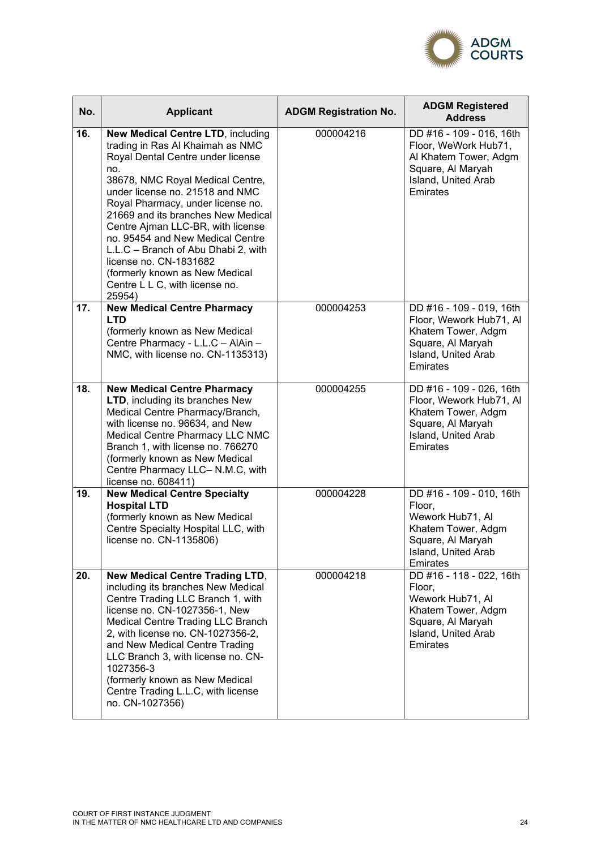

| No. | <b>Applicant</b>                                                                                                                                                                                                                                                                                                                                                                                                                                                                                   | <b>ADGM Registration No.</b> | <b>ADGM Registered</b><br><b>Address</b>                                                                                                 |
|-----|----------------------------------------------------------------------------------------------------------------------------------------------------------------------------------------------------------------------------------------------------------------------------------------------------------------------------------------------------------------------------------------------------------------------------------------------------------------------------------------------------|------------------------------|------------------------------------------------------------------------------------------------------------------------------------------|
| 16. | <b>New Medical Centre LTD, including</b><br>trading in Ras Al Khaimah as NMC<br>Royal Dental Centre under license<br>no.<br>38678, NMC Royal Medical Centre,<br>under license no. 21518 and NMC<br>Royal Pharmacy, under license no.<br>21669 and its branches New Medical<br>Centre Ajman LLC-BR, with license<br>no. 95454 and New Medical Centre<br>L.L.C - Branch of Abu Dhabi 2, with<br>license no. CN-1831682<br>(formerly known as New Medical<br>Centre L L C, with license no.<br>25954) | 000004216                    | DD #16 - 109 - 016, 16th<br>Floor, WeWork Hub71,<br>Al Khatem Tower, Adgm<br>Square, Al Maryah<br>Island, United Arab<br><b>Emirates</b> |
| 17. | <b>New Medical Centre Pharmacy</b><br><b>LTD</b><br>(formerly known as New Medical<br>Centre Pharmacy - L.L.C - AlAin -<br>NMC, with license no. CN-1135313)                                                                                                                                                                                                                                                                                                                                       | 000004253                    | DD #16 - 109 - 019, 16th<br>Floor, Wework Hub71, Al<br>Khatem Tower, Adgm<br>Square, Al Maryah<br>Island, United Arab<br>Emirates        |
| 18. | <b>New Medical Centre Pharmacy</b><br>LTD, including its branches New<br>Medical Centre Pharmacy/Branch,<br>with license no. 96634, and New<br>Medical Centre Pharmacy LLC NMC<br>Branch 1, with license no. 766270<br>(formerly known as New Medical<br>Centre Pharmacy LLC-N.M.C, with<br>license no. 608411)                                                                                                                                                                                    | 000004255                    | DD #16 - 109 - 026, 16th<br>Floor, Wework Hub71, Al<br>Khatem Tower, Adgm<br>Square, Al Maryah<br>Island, United Arab<br>Emirates        |
| 19. | <b>New Medical Centre Specialty</b><br><b>Hospital LTD</b><br>(formerly known as New Medical<br>Centre Specialty Hospital LLC, with<br>license no. CN-1135806)                                                                                                                                                                                                                                                                                                                                     | 000004228                    | DD #16 - 109 - 010, 16th<br>Floor,<br>Wework Hub71, Al<br>Khatem Tower, Adgm<br>Square, Al Maryah<br>Island, United Arab<br>Emirates     |
| 20. | <b>New Medical Centre Trading LTD,</b><br>including its branches New Medical<br>Centre Trading LLC Branch 1, with<br>license no. CN-1027356-1, New<br>Medical Centre Trading LLC Branch<br>2, with license no. CN-1027356-2,<br>and New Medical Centre Trading<br>LLC Branch 3, with license no. CN-<br>1027356-3<br>(formerly known as New Medical<br>Centre Trading L.L.C, with license<br>no. CN-1027356)                                                                                       | 000004218                    | DD #16 - 118 - 022, 16th<br>Floor,<br>Wework Hub71, Al<br>Khatem Tower, Adgm<br>Square, Al Maryah<br>Island, United Arab<br>Emirates     |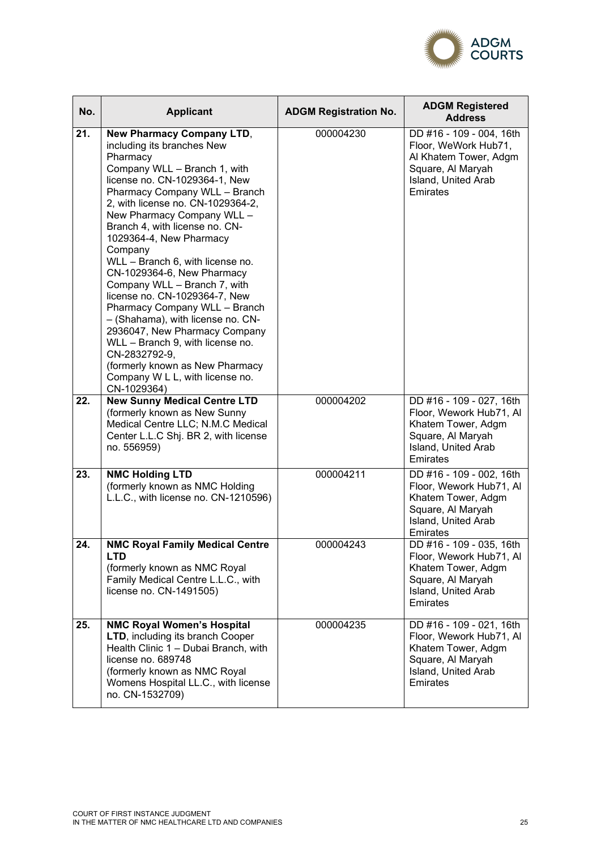

| No. | <b>Applicant</b>                                                                                                                                                                                                                                                                                                                                                                                                                                                                                                                                                                                                                                                                                            | <b>ADGM Registration No.</b> | <b>ADGM Registered</b><br><b>Address</b>                                                                                                 |
|-----|-------------------------------------------------------------------------------------------------------------------------------------------------------------------------------------------------------------------------------------------------------------------------------------------------------------------------------------------------------------------------------------------------------------------------------------------------------------------------------------------------------------------------------------------------------------------------------------------------------------------------------------------------------------------------------------------------------------|------------------------------|------------------------------------------------------------------------------------------------------------------------------------------|
| 21. | <b>New Pharmacy Company LTD,</b><br>including its branches New<br>Pharmacy<br>Company WLL - Branch 1, with<br>license no. CN-1029364-1, New<br>Pharmacy Company WLL - Branch<br>2, with license no. CN-1029364-2,<br>New Pharmacy Company WLL -<br>Branch 4, with license no. CN-<br>1029364-4, New Pharmacy<br>Company<br>WLL - Branch 6, with license no.<br>CN-1029364-6, New Pharmacy<br>Company WLL - Branch 7, with<br>license no. CN-1029364-7, New<br>Pharmacy Company WLL - Branch<br>- (Shahama), with license no. CN-<br>2936047, New Pharmacy Company<br>WLL - Branch 9, with license no.<br>CN-2832792-9,<br>(formerly known as New Pharmacy<br>Company W L L, with license no.<br>CN-1029364) | 000004230                    | DD #16 - 109 - 004, 16th<br>Floor, WeWork Hub71,<br>Al Khatem Tower, Adgm<br>Square, Al Maryah<br>Island, United Arab<br>Emirates        |
| 22. | <b>New Sunny Medical Centre LTD</b><br>(formerly known as New Sunny<br>Medical Centre LLC; N.M.C Medical<br>Center L.L.C Shj. BR 2, with license<br>no. 556959)                                                                                                                                                                                                                                                                                                                                                                                                                                                                                                                                             | 000004202                    | DD #16 - 109 - 027, 16th<br>Floor, Wework Hub71, Al<br>Khatem Tower, Adgm<br>Square, Al Maryah<br>Island, United Arab<br><b>Emirates</b> |
| 23. | <b>NMC Holding LTD</b><br>(formerly known as NMC Holding<br>L.L.C., with license no. CN-1210596)                                                                                                                                                                                                                                                                                                                                                                                                                                                                                                                                                                                                            | 000004211                    | DD #16 - 109 - 002, 16th<br>Floor, Wework Hub71, Al<br>Khatem Tower, Adgm<br>Square, Al Maryah<br>Island, United Arab<br>Emirates        |
| 24. | <b>NMC Royal Family Medical Centre</b><br><b>LTD</b><br>(formerly known as NMC Royal<br>Family Medical Centre L.L.C., with<br>license no. CN-1491505)                                                                                                                                                                                                                                                                                                                                                                                                                                                                                                                                                       | 000004243                    | DD #16 - 109 - 035, 16th<br>Floor, Wework Hub71, Al<br>Khatem Tower, Adgm<br>Square, Al Maryah<br>Island, United Arab<br>Emirates        |
| 25. | <b>NMC Royal Women's Hospital</b><br>LTD, including its branch Cooper<br>Health Clinic 1 - Dubai Branch, with<br>license no. 689748<br>(formerly known as NMC Royal<br>Womens Hospital LL.C., with license<br>no. CN-1532709)                                                                                                                                                                                                                                                                                                                                                                                                                                                                               | 000004235                    | DD #16 - 109 - 021, 16th<br>Floor, Wework Hub71, Al<br>Khatem Tower, Adgm<br>Square, Al Maryah<br>Island, United Arab<br>Emirates        |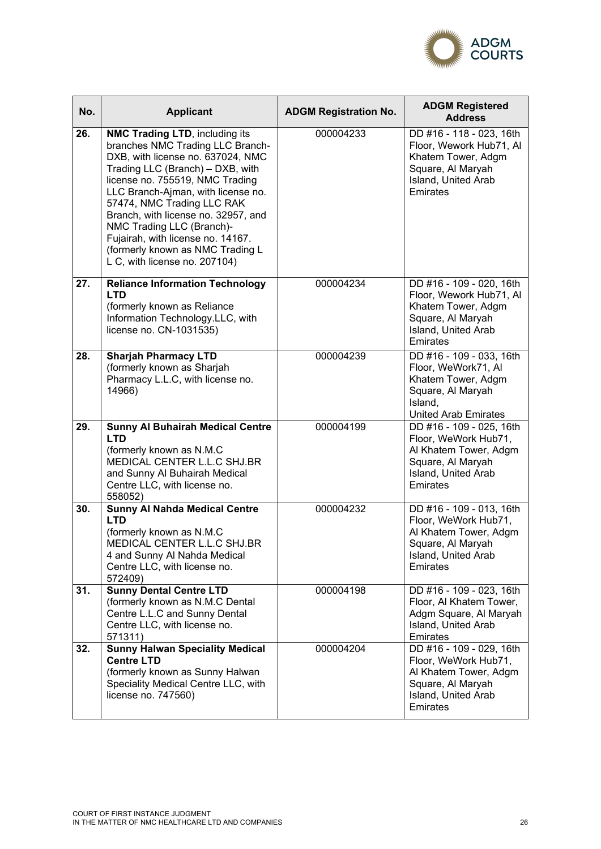

| No. | <b>Applicant</b>                                                                                                                                                                                                                                                                                                                                                                                                                        | <b>ADGM Registration No.</b> | <b>ADGM Registered</b><br><b>Address</b>                                                                                                 |
|-----|-----------------------------------------------------------------------------------------------------------------------------------------------------------------------------------------------------------------------------------------------------------------------------------------------------------------------------------------------------------------------------------------------------------------------------------------|------------------------------|------------------------------------------------------------------------------------------------------------------------------------------|
| 26. | <b>NMC Trading LTD, including its</b><br>branches NMC Trading LLC Branch-<br>DXB, with license no. 637024, NMC<br>Trading LLC (Branch) - DXB, with<br>license no. 755519, NMC Trading<br>LLC Branch-Ajman, with license no.<br>57474, NMC Trading LLC RAK<br>Branch, with license no. 32957, and<br>NMC Trading LLC (Branch)-<br>Fujairah, with license no. 14167.<br>(formerly known as NMC Trading L<br>L C, with license no. 207104) | 000004233                    | DD #16 - 118 - 023, 16th<br>Floor, Wework Hub71, Al<br>Khatem Tower, Adgm<br>Square, Al Maryah<br>Island, United Arab<br><b>Emirates</b> |
| 27. | <b>Reliance Information Technology</b><br><b>LTD</b><br>(formerly known as Reliance<br>Information Technology.LLC, with<br>license no. CN-1031535)                                                                                                                                                                                                                                                                                      | 000004234                    | DD #16 - 109 - 020, 16th<br>Floor, Wework Hub71, Al<br>Khatem Tower, Adgm<br>Square, Al Maryah<br>Island, United Arab<br><b>Emirates</b> |
| 28. | <b>Sharjah Pharmacy LTD</b><br>(formerly known as Sharjah<br>Pharmacy L.L.C, with license no.<br>14966)                                                                                                                                                                                                                                                                                                                                 | 000004239                    | DD #16 - 109 - 033, 16th<br>Floor, WeWork71, Al<br>Khatem Tower, Adgm<br>Square, Al Maryah<br>Island,<br><b>United Arab Emirates</b>     |
| 29. | <b>Sunny Al Buhairah Medical Centre</b><br><b>LTD</b><br>(formerly known as N.M.C<br>MEDICAL CENTER L.L.C SHJ.BR<br>and Sunny Al Buhairah Medical<br>Centre LLC, with license no.<br>558052)                                                                                                                                                                                                                                            | 000004199                    | DD #16 - 109 - 025, 16th<br>Floor, WeWork Hub71,<br>Al Khatem Tower, Adgm<br>Square, Al Maryah<br>Island, United Arab<br><b>Emirates</b> |
| 30. | <b>Sunny Al Nahda Medical Centre</b><br><b>LTD</b><br>(formerly known as N.M.C<br>MEDICAL CENTER L.L.C SHJ.BR<br>4 and Sunny Al Nahda Medical<br>Centre LLC, with license no.<br>572409)                                                                                                                                                                                                                                                | 000004232                    | DD #16 - 109 - 013, 16th<br>Floor, WeWork Hub71,<br>Al Khatem Tower, Adgm<br>Square, Al Maryah<br>Island, United Arab<br><b>Emirates</b> |
| 31. | <b>Sunny Dental Centre LTD</b><br>(formerly known as N.M.C Dental<br>Centre L.L.C and Sunny Dental<br>Centre LLC, with license no.<br>571311)                                                                                                                                                                                                                                                                                           | 000004198                    | DD #16 - 109 - 023, 16th<br>Floor, Al Khatem Tower,<br>Adgm Square, Al Maryah<br>Island, United Arab<br><b>Emirates</b>                  |
| 32. | <b>Sunny Halwan Speciality Medical</b><br><b>Centre LTD</b><br>(formerly known as Sunny Halwan<br>Speciality Medical Centre LLC, with<br>license no. 747560)                                                                                                                                                                                                                                                                            | 000004204                    | DD #16 - 109 - 029, 16th<br>Floor, WeWork Hub71,<br>Al Khatem Tower, Adgm<br>Square, Al Maryah<br>Island, United Arab<br><b>Emirates</b> |